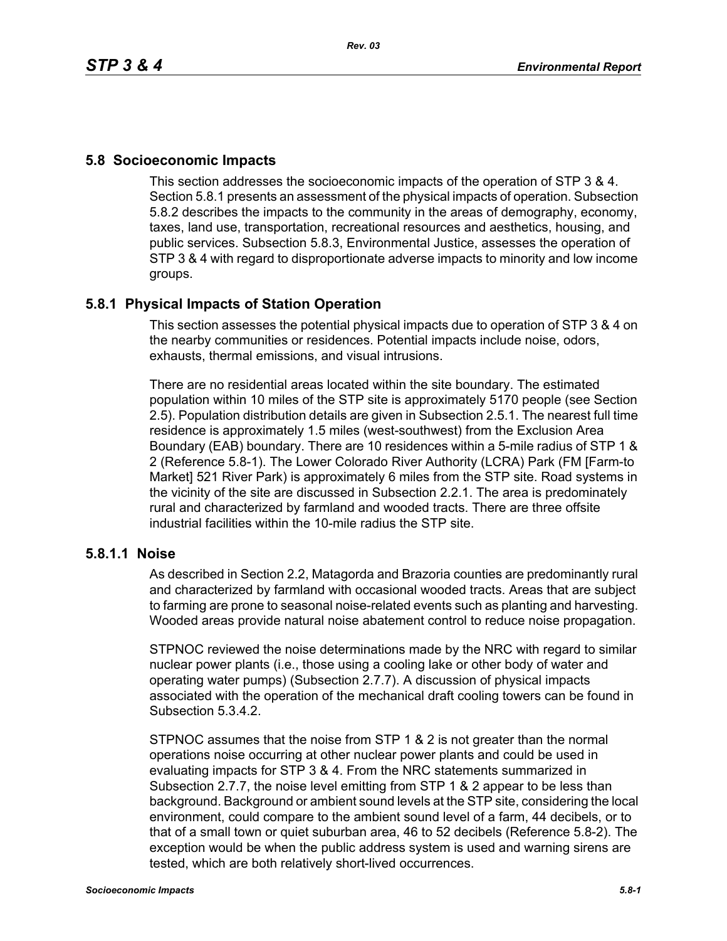## **5.8 Socioeconomic Impacts**

This section addresses the socioeconomic impacts of the operation of STP 3 & 4. Section 5.8.1 presents an assessment of the physical impacts of operation. Subsection 5.8.2 describes the impacts to the community in the areas of demography, economy, taxes, land use, transportation, recreational resources and aesthetics, housing, and public services. Subsection 5.8.3, Environmental Justice, assesses the operation of STP 3 & 4 with regard to disproportionate adverse impacts to minority and low income groups.

## **5.8.1 Physical Impacts of Station Operation**

This section assesses the potential physical impacts due to operation of STP 3 & 4 on the nearby communities or residences. Potential impacts include noise, odors, exhausts, thermal emissions, and visual intrusions.

There are no residential areas located within the site boundary. The estimated population within 10 miles of the STP site is approximately 5170 people (see Section 2.5). Population distribution details are given in Subsection 2.5.1. The nearest full time residence is approximately 1.5 miles (west-southwest) from the Exclusion Area Boundary (EAB) boundary. There are 10 residences within a 5-mile radius of STP 1 & 2 (Reference 5.8-1). The Lower Colorado River Authority (LCRA) Park (FM [Farm-to Market] 521 River Park) is approximately 6 miles from the STP site. Road systems in the vicinity of the site are discussed in Subsection 2.2.1. The area is predominately rural and characterized by farmland and wooded tracts. There are three offsite industrial facilities within the 10-mile radius the STP site.

## **5.8.1.1 Noise**

As described in Section 2.2, Matagorda and Brazoria counties are predominantly rural and characterized by farmland with occasional wooded tracts. Areas that are subject to farming are prone to seasonal noise-related events such as planting and harvesting. Wooded areas provide natural noise abatement control to reduce noise propagation.

STPNOC reviewed the noise determinations made by the NRC with regard to similar nuclear power plants (i.e., those using a cooling lake or other body of water and operating water pumps) (Subsection 2.7.7). A discussion of physical impacts associated with the operation of the mechanical draft cooling towers can be found in Subsection 5.3.4.2.

STPNOC assumes that the noise from STP 1 & 2 is not greater than the normal operations noise occurring at other nuclear power plants and could be used in evaluating impacts for STP 3 & 4. From the NRC statements summarized in Subsection 2.7.7, the noise level emitting from STP 1 & 2 appear to be less than background. Background or ambient sound levels at the STP site, considering the local environment, could compare to the ambient sound level of a farm, 44 decibels, or to that of a small town or quiet suburban area, 46 to 52 decibels (Reference 5.8-2). The exception would be when the public address system is used and warning sirens are tested, which are both relatively short-lived occurrences.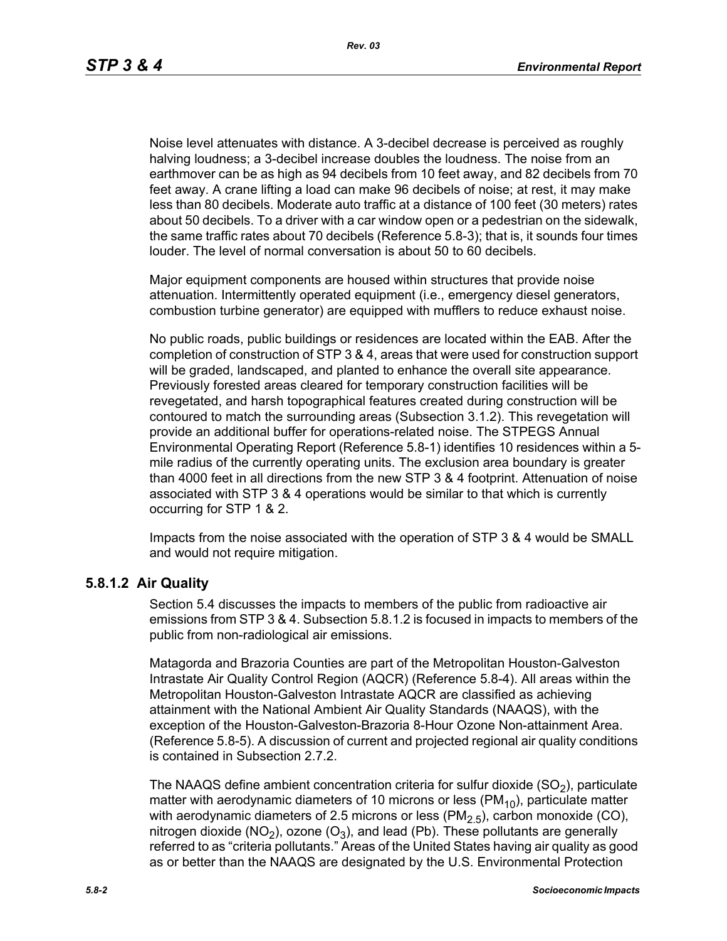Noise level attenuates with distance. A 3-decibel decrease is perceived as roughly halving loudness; a 3-decibel increase doubles the loudness. The noise from an earthmover can be as high as 94 decibels from 10 feet away, and 82 decibels from 70 feet away. A crane lifting a load can make 96 decibels of noise; at rest, it may make less than 80 decibels. Moderate auto traffic at a distance of 100 feet (30 meters) rates about 50 decibels. To a driver with a car window open or a pedestrian on the sidewalk, the same traffic rates about 70 decibels (Reference 5.8-3); that is, it sounds four times louder. The level of normal conversation is about 50 to 60 decibels.

Major equipment components are housed within structures that provide noise attenuation. Intermittently operated equipment (i.e., emergency diesel generators, combustion turbine generator) are equipped with mufflers to reduce exhaust noise.

No public roads, public buildings or residences are located within the EAB. After the completion of construction of STP 3 & 4, areas that were used for construction support will be graded, landscaped, and planted to enhance the overall site appearance. Previously forested areas cleared for temporary construction facilities will be revegetated, and harsh topographical features created during construction will be contoured to match the surrounding areas (Subsection 3.1.2). This revegetation will provide an additional buffer for operations-related noise. The STPEGS Annual Environmental Operating Report (Reference 5.8-1) identifies 10 residences within a 5 mile radius of the currently operating units. The exclusion area boundary is greater than 4000 feet in all directions from the new STP 3 & 4 footprint. Attenuation of noise associated with STP 3 & 4 operations would be similar to that which is currently occurring for STP 1 & 2.

Impacts from the noise associated with the operation of STP 3 & 4 would be SMALL and would not require mitigation.

## **5.8.1.2 Air Quality**

Section 5.4 discusses the impacts to members of the public from radioactive air emissions from STP 3 & 4. Subsection 5.8.1.2 is focused in impacts to members of the public from non-radiological air emissions.

Matagorda and Brazoria Counties are part of the Metropolitan Houston-Galveston Intrastate Air Quality Control Region (AQCR) (Reference 5.8-4). All areas within the Metropolitan Houston-Galveston Intrastate AQCR are classified as achieving attainment with the National Ambient Air Quality Standards (NAAQS), with the exception of the Houston-Galveston-Brazoria 8-Hour Ozone Non-attainment Area. (Reference 5.8-5). A discussion of current and projected regional air quality conditions is contained in Subsection 2.7.2.

The NAAQS define ambient concentration criteria for sulfur dioxide  $(SO<sub>2</sub>)$ , particulate matter with aerodynamic diameters of 10 microns or less ( $PM_{10}$ ), particulate matter with aerodynamic diameters of 2.5 microns or less  $(PM<sub>2.5</sub>)$ , carbon monoxide (CO), nitrogen dioxide (NO<sub>2</sub>), ozone (O<sub>3</sub>), and lead (Pb). These pollutants are generally referred to as "criteria pollutants." Areas of the United States having air quality as good as or better than the NAAQS are designated by the U.S. Environmental Protection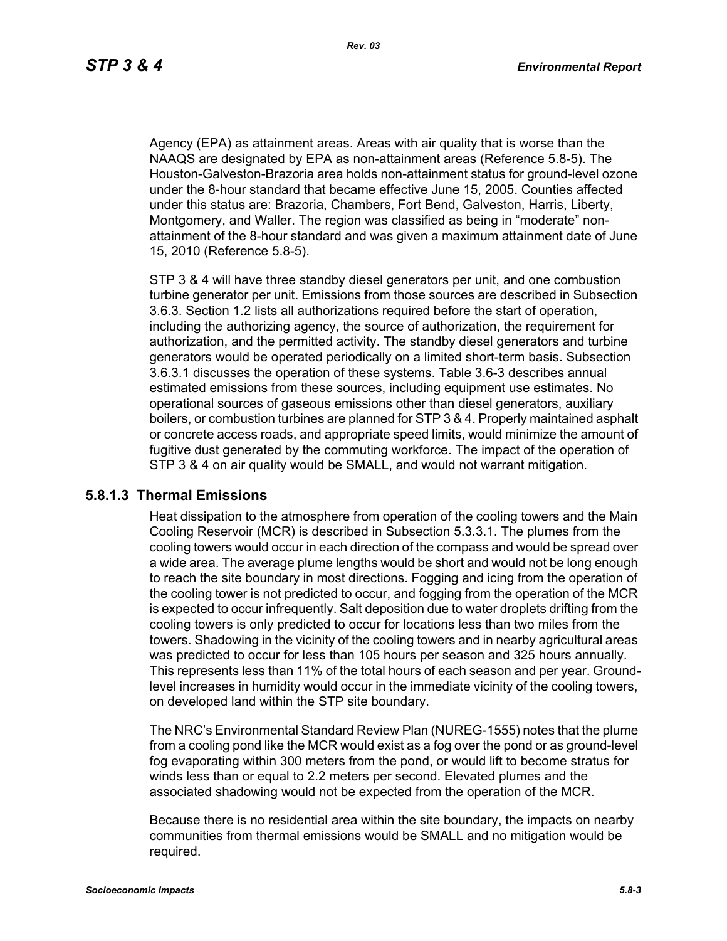Agency (EPA) as attainment areas. Areas with air quality that is worse than the NAAQS are designated by EPA as non-attainment areas (Reference 5.8-5). The Houston-Galveston-Brazoria area holds non-attainment status for ground-level ozone under the 8-hour standard that became effective June 15, 2005. Counties affected under this status are: Brazoria, Chambers, Fort Bend, Galveston, Harris, Liberty, Montgomery, and Waller. The region was classified as being in "moderate" nonattainment of the 8-hour standard and was given a maximum attainment date of June 15, 2010 (Reference 5.8-5).

STP 3 & 4 will have three standby diesel generators per unit, and one combustion turbine generator per unit. Emissions from those sources are described in Subsection 3.6.3. Section 1.2 lists all authorizations required before the start of operation, including the authorizing agency, the source of authorization, the requirement for authorization, and the permitted activity. The standby diesel generators and turbine generators would be operated periodically on a limited short-term basis. Subsection 3.6.3.1 discusses the operation of these systems. Table 3.6-3 describes annual estimated emissions from these sources, including equipment use estimates. No operational sources of gaseous emissions other than diesel generators, auxiliary boilers, or combustion turbines are planned for STP 3 & 4. Properly maintained asphalt or concrete access roads, and appropriate speed limits, would minimize the amount of fugitive dust generated by the commuting workforce. The impact of the operation of STP 3 & 4 on air quality would be SMALL, and would not warrant mitigation.

#### **5.8.1.3 Thermal Emissions**

Heat dissipation to the atmosphere from operation of the cooling towers and the Main Cooling Reservoir (MCR) is described in Subsection 5.3.3.1. The plumes from the cooling towers would occur in each direction of the compass and would be spread over a wide area. The average plume lengths would be short and would not be long enough to reach the site boundary in most directions. Fogging and icing from the operation of the cooling tower is not predicted to occur, and fogging from the operation of the MCR is expected to occur infrequently. Salt deposition due to water droplets drifting from the cooling towers is only predicted to occur for locations less than two miles from the towers. Shadowing in the vicinity of the cooling towers and in nearby agricultural areas was predicted to occur for less than 105 hours per season and 325 hours annually. This represents less than 11% of the total hours of each season and per year. Groundlevel increases in humidity would occur in the immediate vicinity of the cooling towers, on developed land within the STP site boundary.

The NRC's Environmental Standard Review Plan (NUREG-1555) notes that the plume from a cooling pond like the MCR would exist as a fog over the pond or as ground-level fog evaporating within 300 meters from the pond, or would lift to become stratus for winds less than or equal to 2.2 meters per second. Elevated plumes and the associated shadowing would not be expected from the operation of the MCR.

Because there is no residential area within the site boundary, the impacts on nearby communities from thermal emissions would be SMALL and no mitigation would be required.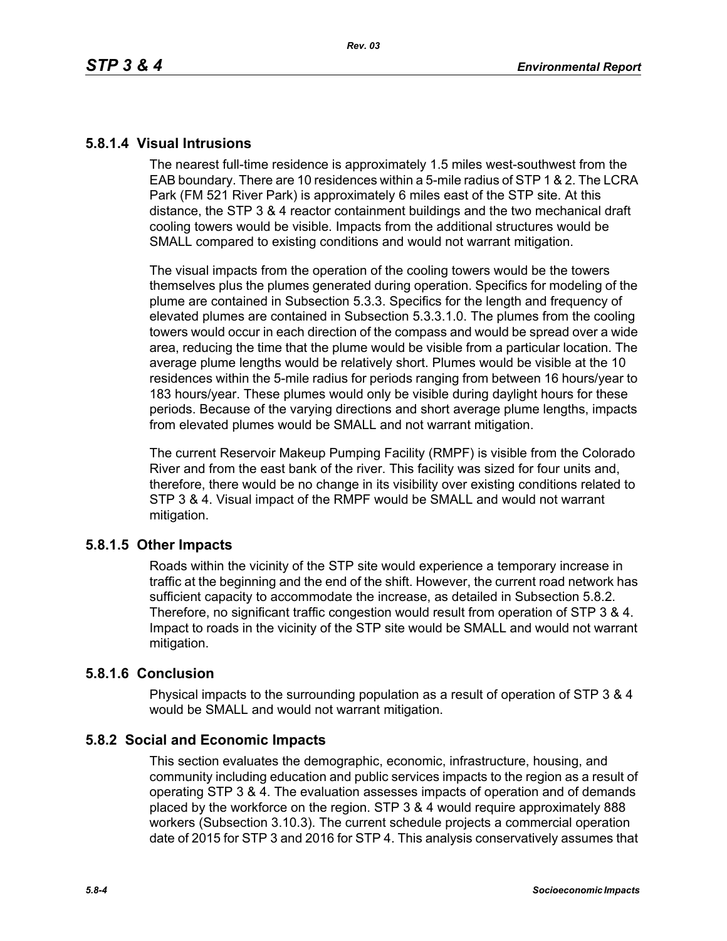## **5.8.1.4 Visual Intrusions**

The nearest full-time residence is approximately 1.5 miles west-southwest from the EAB boundary. There are 10 residences within a 5-mile radius of STP 1 & 2. The LCRA Park (FM 521 River Park) is approximately 6 miles east of the STP site. At this distance, the STP 3 & 4 reactor containment buildings and the two mechanical draft cooling towers would be visible. Impacts from the additional structures would be SMALL compared to existing conditions and would not warrant mitigation.

The visual impacts from the operation of the cooling towers would be the towers themselves plus the plumes generated during operation. Specifics for modeling of the plume are contained in Subsection 5.3.3. Specifics for the length and frequency of elevated plumes are contained in Subsection 5.3.3.1.0. The plumes from the cooling towers would occur in each direction of the compass and would be spread over a wide area, reducing the time that the plume would be visible from a particular location. The average plume lengths would be relatively short. Plumes would be visible at the 10 residences within the 5-mile radius for periods ranging from between 16 hours/year to 183 hours/year. These plumes would only be visible during daylight hours for these periods. Because of the varying directions and short average plume lengths, impacts from elevated plumes would be SMALL and not warrant mitigation.

The current Reservoir Makeup Pumping Facility (RMPF) is visible from the Colorado River and from the east bank of the river. This facility was sized for four units and, therefore, there would be no change in its visibility over existing conditions related to STP 3 & 4. Visual impact of the RMPF would be SMALL and would not warrant mitigation.

## **5.8.1.5 Other Impacts**

Roads within the vicinity of the STP site would experience a temporary increase in traffic at the beginning and the end of the shift. However, the current road network has sufficient capacity to accommodate the increase, as detailed in Subsection 5.8.2. Therefore, no significant traffic congestion would result from operation of STP 3 & 4. Impact to roads in the vicinity of the STP site would be SMALL and would not warrant mitigation.

## **5.8.1.6 Conclusion**

Physical impacts to the surrounding population as a result of operation of STP 3 & 4 would be SMALL and would not warrant mitigation.

## **5.8.2 Social and Economic Impacts**

This section evaluates the demographic, economic, infrastructure, housing, and community including education and public services impacts to the region as a result of operating STP 3 & 4. The evaluation assesses impacts of operation and of demands placed by the workforce on the region. STP 3 & 4 would require approximately 888 workers (Subsection 3.10.3). The current schedule projects a commercial operation date of 2015 for STP 3 and 2016 for STP 4. This analysis conservatively assumes that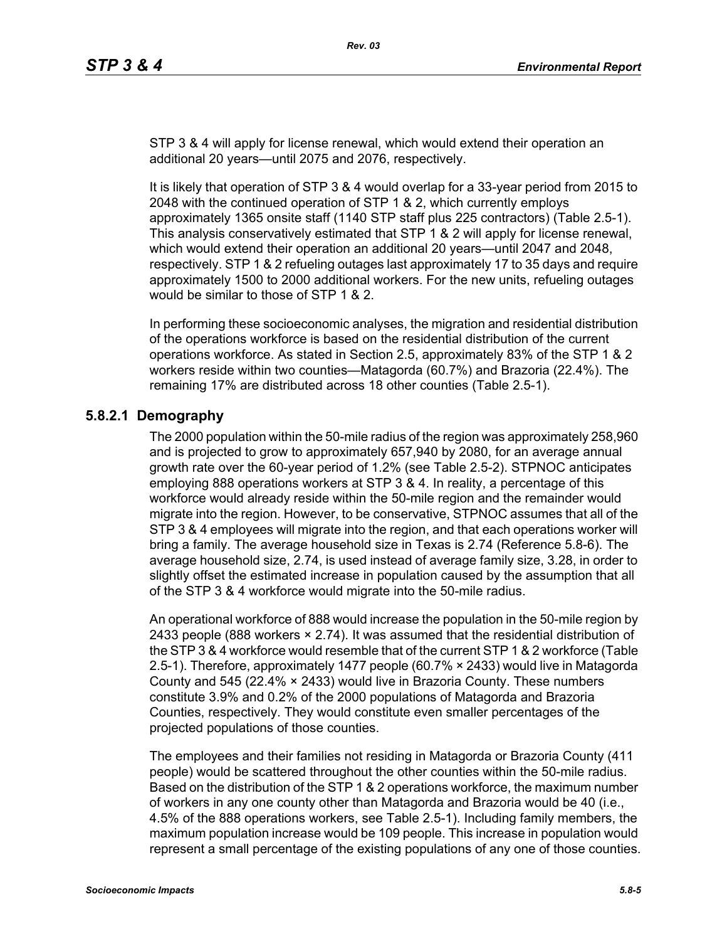STP 3 & 4 will apply for license renewal, which would extend their operation an additional 20 years—until 2075 and 2076, respectively.

It is likely that operation of STP 3 & 4 would overlap for a 33-year period from 2015 to 2048 with the continued operation of STP 1 & 2, which currently employs approximately 1365 onsite staff (1140 STP staff plus 225 contractors) (Table 2.5-1). This analysis conservatively estimated that STP 1 & 2 will apply for license renewal, which would extend their operation an additional 20 years—until 2047 and 2048, respectively. STP 1 & 2 refueling outages last approximately 17 to 35 days and require approximately 1500 to 2000 additional workers. For the new units, refueling outages would be similar to those of STP 1 & 2.

In performing these socioeconomic analyses, the migration and residential distribution of the operations workforce is based on the residential distribution of the current operations workforce. As stated in Section 2.5, approximately 83% of the STP 1 & 2 workers reside within two counties—Matagorda (60.7%) and Brazoria (22.4%). The remaining 17% are distributed across 18 other counties (Table 2.5-1).

# **5.8.2.1 Demography**

The 2000 population within the 50-mile radius of the region was approximately 258,960 and is projected to grow to approximately 657,940 by 2080, for an average annual growth rate over the 60-year period of 1.2% (see Table 2.5-2). STPNOC anticipates employing 888 operations workers at STP 3 & 4. In reality, a percentage of this workforce would already reside within the 50-mile region and the remainder would migrate into the region. However, to be conservative, STPNOC assumes that all of the STP 3 & 4 employees will migrate into the region, and that each operations worker will bring a family. The average household size in Texas is 2.74 (Reference 5.8-6). The average household size, 2.74, is used instead of average family size, 3.28, in order to slightly offset the estimated increase in population caused by the assumption that all of the STP 3 & 4 workforce would migrate into the 50-mile radius.

An operational workforce of 888 would increase the population in the 50-mile region by 2433 people (888 workers  $\times$  2.74). It was assumed that the residential distribution of [the STP 3 & 4 workforce would resemble that of the current STP 1 & 2 workforce \(Table](http://www.stats.bls.gov/)  2.5-1). Therefore, approximately 1477 people (60.7% × 2433) would live in Matagorda County and 545 (22.4% × 2433) would live in Brazoria County. These numbers constitute 3.9% and 0.2% of the 2000 populations of Matagorda and Brazoria Counties, respectively. They would constitute even smaller percentages of the projected populations of those counties.

The employees and their families not residing in Matagorda or Brazoria County (411 people) would be scattered throughout the other counties within the 50-mile radius. Based on the distribution of the STP 1 & 2 operations workforce, the maximum number of workers in any one county other than Matagorda and Brazoria would be 40 (i.e., 4.5% of the 888 operations workers, see Table 2.5-1). Including family members, the maximum population increase would be 109 people. This increase in population would represent a small percentage of the existing populations of any one of those counties.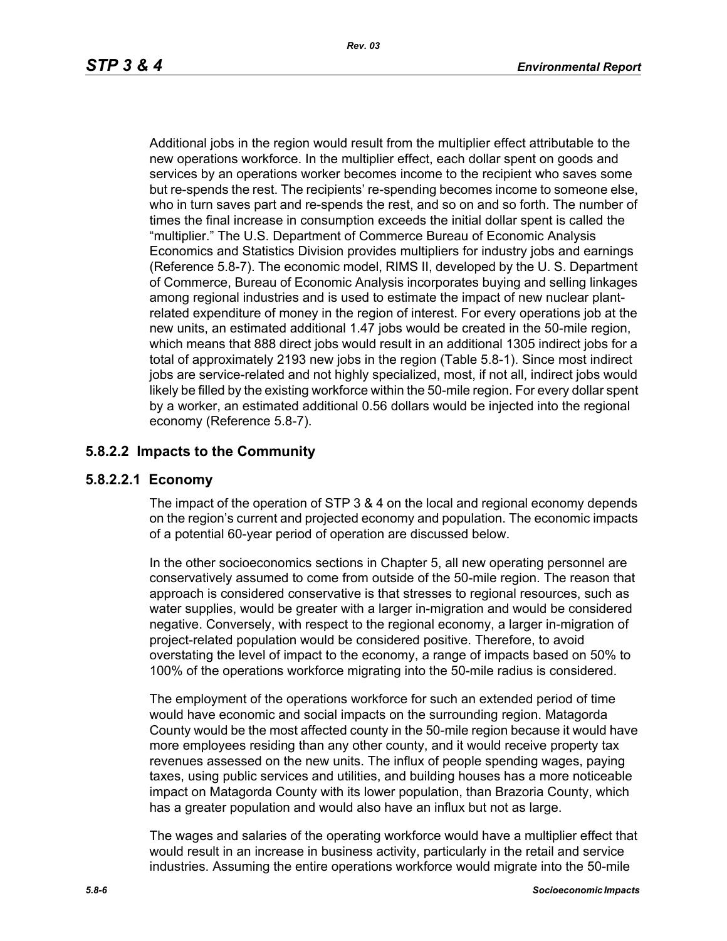Additional jobs in the region would result from the multiplier effect attributable to the new operations workforce. In the multiplier effect, each dollar spent on goods and services by an operations worker becomes income to the recipient who saves some but re-spends the rest. The recipients' re-spending becomes income to someone else, who in turn saves part and re-spends the rest, and so on and so forth. The number of times the final increase in consumption exceeds the initial dollar spent is called the "multiplier." The U.S. Department of Commerce Bureau of Economic Analysis Economics and Statistics Division provides multipliers for industry jobs and earnings (Reference 5.8-7). The economic model, RIMS II, developed by the U. S. Department of Commerce, Bureau of Economic Analysis incorporates buying and selling linkages among regional industries and is used to estimate the impact of new nuclear plantrelated expenditure of money in the region of interest. For every operations job at the new units, an estimated additional 1.47 jobs would be created in the 50-mile region, which means that 888 direct jobs would result in an additional 1305 indirect jobs for a total of approximately 2193 new jobs in the region (Table 5.8-1). Since most indirect iobs are service-related and not highly specialized, most, if not all, indirect jobs would likely be filled by the existing workforce within the 50-mile region. For every dollar spent by a worker, an estimated additional 0.56 dollars would be injected into the regional economy (Reference 5.8-7).

## **5.8.2.2 Impacts to the Community**

## **5.8.2.2.1 Economy**

The impact of the operation of STP 3 & 4 on the local and regional economy depends on the region's current and projected economy and population. The economic impacts of a potential 60-year period of operation are discussed below.

In the other socioeconomics sections in Chapter 5, all new operating personnel are conservatively assumed to come from outside of the 50-mile region. The reason that approach is considered conservative is that stresses to regional resources, such as water supplies, would be greater with a larger in-migration and would be considered negative. Conversely, with respect to the regional economy, a larger in-migration of project-related population would be considered positive. Therefore, to avoid overstating the level of impact to the economy, a range of impacts based on 50% to 100% of the operations workforce migrating into the 50-mile radius is considered.

The employment of the operations workforce for such an extended period of time would have economic and social impacts on the surrounding region. Matagorda County would be the most affected county in the 50-mile region because it would have more employees residing than any other county, and it would receive property tax revenues assessed on the new units. The influx of people spending wages, paying taxes, using public services and utilities, and building houses has a more noticeable impact on Matagorda County with its lower population, than Brazoria County, which has a greater population and would also have an influx but not as large.

The wages and salaries of the operating workforce would have a multiplier effect that would result in an increase in business activity, particularly in the retail and service industries. Assuming the entire operations workforce would migrate into the 50-mile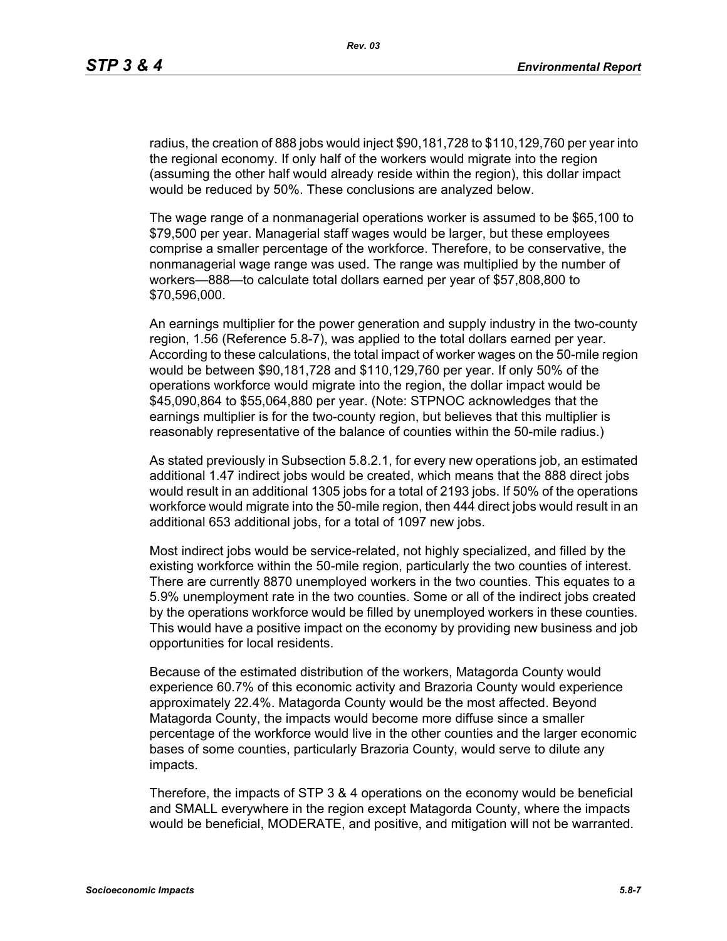radius, the creation of 888 jobs would inject \$90,181,728 to \$110,129,760 per year into the regional economy. If only half of the workers would migrate into the region (assuming the other half would already reside within the region), this dollar impact would be reduced by 50%. These conclusions are analyzed below.

The wage range of a nonmanagerial operations worker is assumed to be \$65,100 to \$79,500 per year. Managerial staff wages would be larger, but these employees comprise a smaller percentage of the workforce. Therefore, to be conservative, the nonmanagerial wage range was used. The range was multiplied by the number of workers—888—to calculate total dollars earned per year of \$57,808,800 to \$70,596,000.

An earnings multiplier for the power generation and supply industry in the two-county region, 1.56 (Reference 5.8-7), was applied to the total dollars earned per year. According to these calculations, the total impact of worker wages on the 50-mile region would be between \$90,181,728 and \$110,129,760 per year. If only 50% of the operations workforce would migrate into the region, the dollar impact would be \$45,090,864 to \$55,064,880 per year. (Note: STPNOC acknowledges that the earnings multiplier is for the two-county region, but believes that this multiplier is reasonably representative of the balance of counties within the 50-mile radius.)

As stated previously in Subsection 5.8.2.1, for every new operations job, an estimated additional 1.47 indirect jobs would be created, which means that the 888 direct jobs would result in an additional 1305 jobs for a total of 2193 jobs. If 50% of the operations workforce would migrate into the 50-mile region, then 444 direct jobs would result in an additional 653 additional jobs, for a total of 1097 new jobs.

Most indirect jobs would be service-related, not highly specialized, and filled by the existing workforce within the 50-mile region, particularly the two counties of interest. There are currently 8870 unemployed workers in the two counties. This equates to a 5.9% unemployment rate in the two counties. Some or all of the indirect jobs created by the operations workforce would be filled by unemployed workers in these counties. This would have a positive impact on the economy by providing new business and job opportunities for local residents.

Because of the estimated distribution of the workers, Matagorda County would experience 60.7% of this economic activity and Brazoria County would experience approximately 22.4%. Matagorda County would be the most affected. Beyond Matagorda County, the impacts would become more diffuse since a smaller percentage of the workforce would live in the other counties and the larger economic bases of some counties, particularly Brazoria County, would serve to dilute any impacts.

Therefore, the impacts of STP 3 & 4 operations on the economy would be beneficial and SMALL everywhere in the region except Matagorda County, where the impacts would be beneficial, MODERATE, and positive, and mitigation will not be warranted.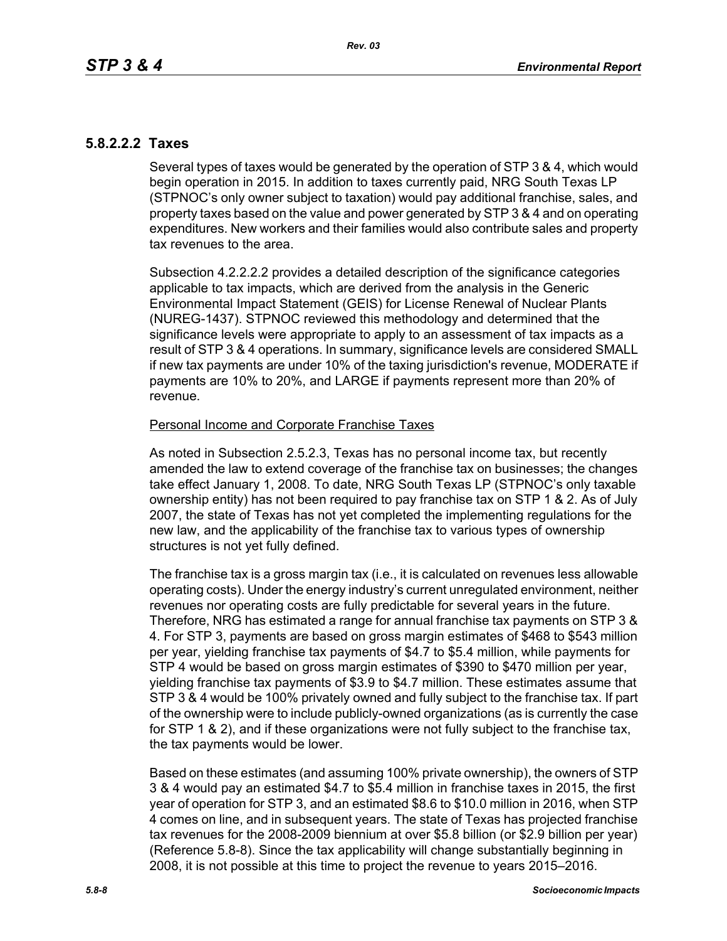## **5.8.2.2.2 Taxes**

Several types of taxes would be generated by the operation of STP 3 & 4, which would begin operation in 2015. In addition to taxes currently paid, NRG South Texas LP (STPNOC's only owner subject to taxation) would pay additional franchise, sales, and property taxes based on the value and power generated by STP 3 & 4 and on operating expenditures. New workers and their families would also contribute sales and property tax revenues to the area.

Subsection 4.2.2.2.2 provides a detailed description of the significance categories applicable to tax impacts, which are derived from the analysis in the Generic Environmental Impact Statement (GEIS) for License Renewal of Nuclear Plants (NUREG-1437). STPNOC reviewed this methodology and determined that the significance levels were appropriate to apply to an assessment of tax impacts as a result of STP 3 & 4 operations. In summary, significance levels are considered SMALL if new tax payments are under 10% of the taxing jurisdiction's revenue, MODERATE if payments are 10% to 20%, and LARGE if payments represent more than 20% of revenue.

#### Personal Income and Corporate Franchise Taxes

As noted in Subsection 2.5.2.3, Texas has no personal income tax, but recently amended the law to extend coverage of the franchise tax on businesses; the changes take effect January 1, 2008. To date, NRG South Texas LP (STPNOC's only taxable ownership entity) has not been required to pay franchise tax on STP 1 & 2. As of July 2007, the state of Texas has not yet completed the implementing regulations for the new law, and the applicability of the franchise tax to various types of ownership structures is not yet fully defined.

The franchise tax is a gross margin tax (i.e., it is calculated on revenues less allowable operating costs). Under the energy industry's current unregulated environment, neither revenues nor operating costs are fully predictable for several years in the future. Therefore, NRG has estimated a range for annual franchise tax payments on STP 3 & 4. For STP 3, payments are based on gross margin estimates of \$468 to \$543 million per year, yielding franchise tax payments of \$4.7 to \$5.4 million, while payments for STP 4 would be based on gross margin estimates of \$390 to \$470 million per year, yielding franchise tax payments of \$3.9 to \$4.7 million. These estimates assume that STP 3 & 4 would be 100% privately owned and fully subject to the franchise tax. If part of the ownership were to include publicly-owned organizations (as is currently the case for STP 1 & 2), and if these organizations were not fully subject to the franchise tax, the tax payments would be lower.

Based on these estimates (and assuming 100% private ownership), the owners of STP 3 & 4 would pay an estimated \$4.7 to \$5.4 million in franchise taxes in 2015, the first year of operation for STP 3, and an estimated \$8.6 to \$10.0 million in 2016, when STP 4 comes on line, and in subsequent years. The state of Texas has projected franchise tax revenues for the 2008-2009 biennium at over \$5.8 billion (or \$2.9 billion per year) (Reference 5.8-8). Since the tax applicability will change substantially beginning in 2008, it is not possible at this time to project the revenue to years 2015–2016.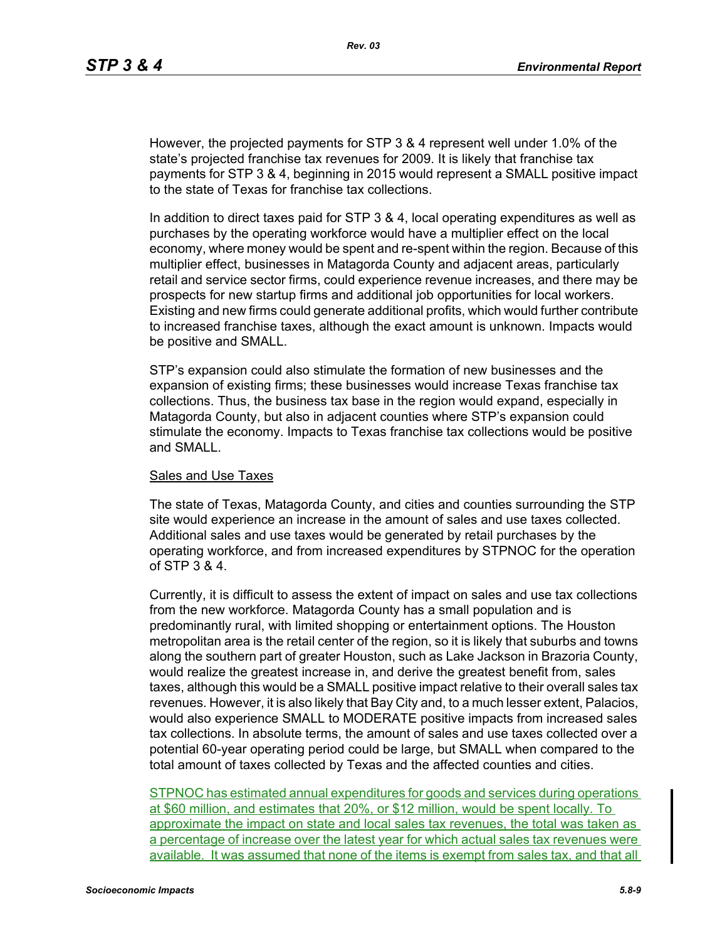However, the projected payments for STP 3 & 4 represent well under 1.0% of the state's projected franchise tax revenues for 2009. It is likely that franchise tax payments for STP 3 & 4, beginning in 2015 would represent a SMALL positive impact to the state of Texas for franchise tax collections.

In addition to direct taxes paid for STP 3 & 4, local operating expenditures as well as purchases by the operating workforce would have a multiplier effect on the local economy, where money would be spent and re-spent within the region. Because of this multiplier effect, businesses in Matagorda County and adjacent areas, particularly retail and service sector firms, could experience revenue increases, and there may be prospects for new startup firms and additional job opportunities for local workers. Existing and new firms could generate additional profits, which would further contribute to increased franchise taxes, although the exact amount is unknown. Impacts would be positive and SMALL.

STP's expansion could also stimulate the formation of new businesses and the expansion of existing firms; these businesses would increase Texas franchise tax collections. Thus, the business tax base in the region would expand, especially in Matagorda County, but also in adjacent counties where STP's expansion could stimulate the economy. Impacts to Texas franchise tax collections would be positive and SMALL.

#### Sales and Use Taxes

The state of Texas, Matagorda County, and cities and counties surrounding the STP site would experience an increase in the amount of sales and use taxes collected. Additional sales and use taxes would be generated by retail purchases by the operating workforce, and from increased expenditures by STPNOC for the operation of STP 3 & 4.

Currently, it is difficult to assess the extent of impact on sales and use tax collections from the new workforce. Matagorda County has a small population and is predominantly rural, with limited shopping or entertainment options. The Houston metropolitan area is the retail center of the region, so it is likely that suburbs and towns along the southern part of greater Houston, such as Lake Jackson in Brazoria County, would realize the greatest increase in, and derive the greatest benefit from, sales taxes, although this would be a SMALL positive impact relative to their overall sales tax revenues. However, it is also likely that Bay City and, to a much lesser extent, Palacios, would also experience SMALL to MODERATE positive impacts from increased sales tax collections. In absolute terms, the amount of sales and use taxes collected over a potential 60-year operating period could be large, but SMALL when compared to the total amount of taxes collected by Texas and the affected counties and cities.

STPNOC has estimated annual expenditures for goods and services during operations at \$60 million, and estimates that 20%, or \$12 million, would be spent locally. To approximate the impact on state and local sales tax revenues, the total was taken as a percentage of increase over the latest year for which actual sales tax revenues were available. It was assumed that none of the items is exempt from sales tax, and that all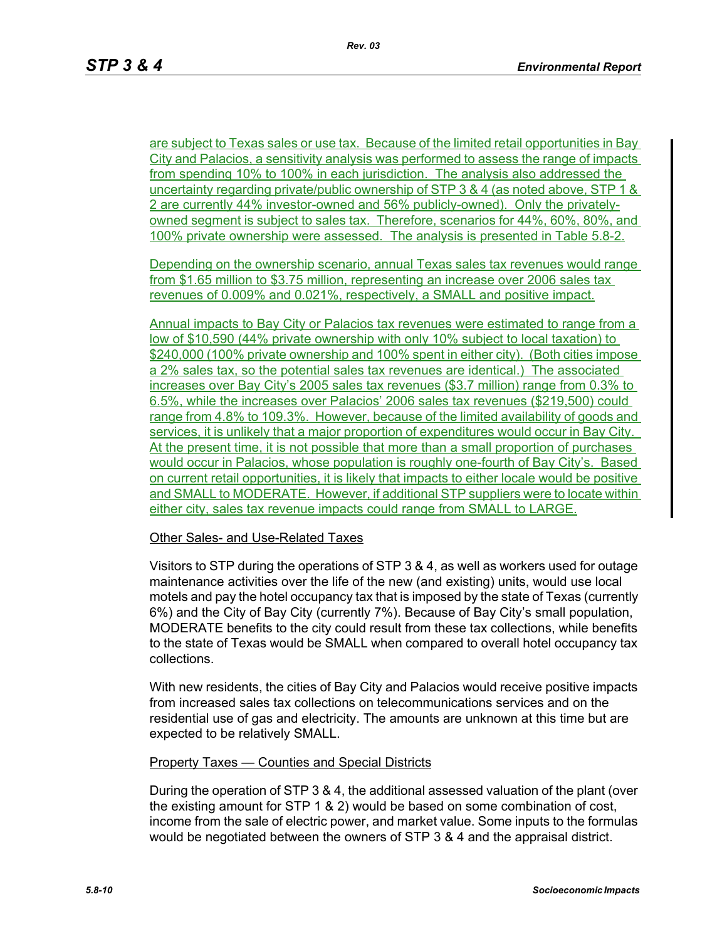are subject to Texas sales or use tax. Because of the limited retail opportunities in Bay City and Palacios, a sensitivity analysis was performed to assess the range of impacts from spending 10% to 100% in each jurisdiction. The analysis also addressed the uncertainty regarding private/public ownership of STP 3 & 4 (as noted above, STP 1 & 2 are currently 44% investor-owned and 56% publicly-owned). Only the privatelyowned segment is subject to sales tax. Therefore, scenarios for 44%, 60%, 80%, and 100% private ownership were assessed. The analysis is presented in Table 5.8-2.

Depending on the ownership scenario, annual Texas sales tax revenues would range from \$1.65 million to \$3.75 million, representing an increase over 2006 sales tax revenues of 0.009% and 0.021%, respectively, a SMALL and positive impact.

Annual impacts to Bay City or Palacios tax revenues were estimated to range from a low of \$10,590 (44% private ownership with only 10% subject to local taxation) to \$240,000 (100% private ownership and 100% spent in either city). (Both cities impose a 2% sales tax, so the potential sales tax revenues are identical.) The associated increases over Bay City's 2005 sales tax revenues (\$3.7 million) range from 0.3% to 6.5%, while the increases over Palacios' 2006 sales tax revenues (\$219,500) could range from 4.8% to 109.3%. However, because of the limited availability of goods and services, it is unlikely that a major proportion of expenditures would occur in Bay City. At the present time, it is not possible that more than a small proportion of purchases would occur in Palacios, whose population is roughly one-fourth of Bay City's. Based on current retail opportunities, it is likely that impacts to either locale would be positive and SMALL to MODERATE. However, if additional STP suppliers were to locate within either city, sales tax revenue impacts could range from SMALL to LARGE.

#### Other Sales- and Use-Related Taxes

Visitors to STP during the operations of STP 3 & 4, as well as workers used for outage maintenance activities over the life of the new (and existing) units, would use local motels and pay the hotel occupancy tax that is imposed by the state of Texas (currently 6%) and the City of Bay City (currently 7%). Because of Bay City's small population, MODERATE benefits to the city could result from these tax collections, while benefits to the state of Texas would be SMALL when compared to overall hotel occupancy tax collections.

With new residents, the cities of Bay City and Palacios would receive positive impacts from increased sales tax collections on telecommunications services and on the residential use of gas and electricity. The amounts are unknown at this time but are expected to be relatively SMALL.

#### Property Taxes — Counties and Special Districts

During the operation of STP 3 & 4, the additional assessed valuation of the plant (over the existing amount for STP 1 & 2) would be based on some combination of cost, income from the sale of electric power, and market value. Some inputs to the formulas would be negotiated between the owners of STP 3 & 4 and the appraisal district.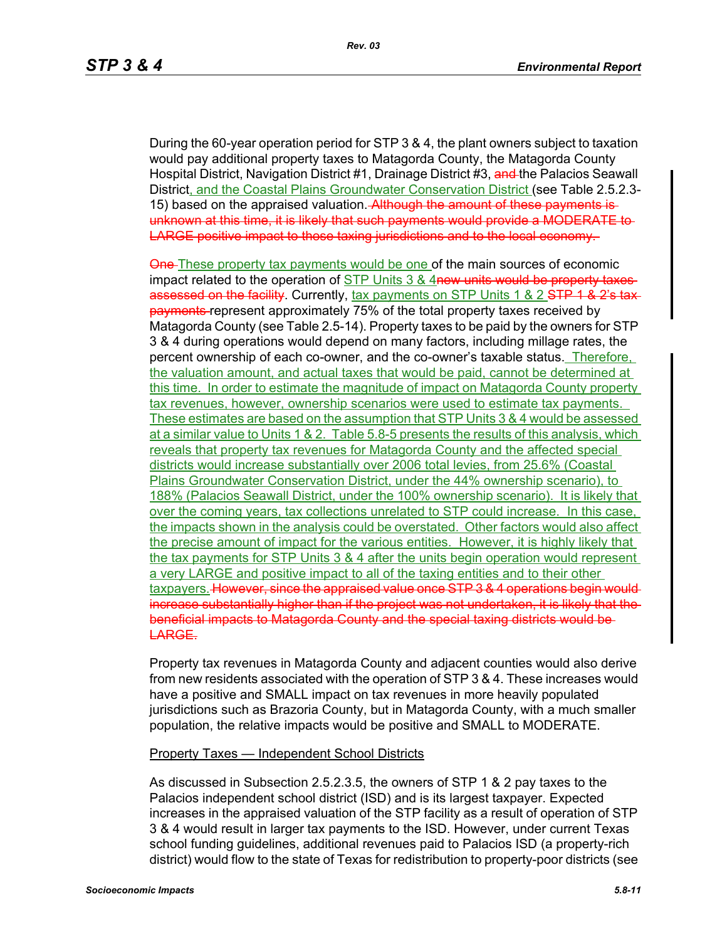During the 60-year operation period for STP 3 & 4, the plant owners subject to taxation would pay additional property taxes to Matagorda County, the Matagorda County Hospital District, Navigation District #1, Drainage District #3, and the Palacios Seawall District, and the Coastal Plains Groundwater Conservation District (see Table 2.5.2.3- 15) based on the appraised valuation. Although the amount of these payments is unknown at this time, it is likely that such payments would provide a MODERATE to LARGE positive impact to those taxing jurisdictions and to the local economy.

One-These property tax payments would be one of the main sources of economic impact related to the operation of STP Units 3 & 4new units would be property taxes assessed on the facility. Currently, tax payments on STP Units 1 & 2 STP 1 & 2's taxpayments represent approximately 75% of the total property taxes received by Matagorda County (see Table 2.5-14). Property taxes to be paid by the owners for STP 3 & 4 during operations would depend on many factors, including millage rates, the percent ownership of each co-owner, and the co-owner's taxable status. Therefore, the valuation amount, and actual taxes that would be paid, cannot be determined at this time. In order to estimate the magnitude of impact on Matagorda County property tax revenues, however, ownership scenarios were used to estimate tax payments. These estimates are based on the assumption that STP Units 3 & 4 would be assessed at a similar value to Units 1 & 2. Table 5.8-5 presents the results of this analysis, which reveals that property tax revenues for Matagorda County and the affected special districts would increase substantially over 2006 total levies, from 25.6% (Coastal Plains Groundwater Conservation District, under the 44% ownership scenario), to 188% (Palacios Seawall District, under the 100% ownership scenario). It is likely that over the coming years, tax collections unrelated to STP could increase. In this case, the impacts shown in the analysis could be overstated. Other factors would also affect the precise amount of impact for the various entities. However, it is highly likely that the tax payments for STP Units 3 & 4 after the units begin operation would represent a very LARGE and positive impact to all of the taxing entities and to their other taxpayers. However, since the appraised value once STP 3 & 4 operations begin would increase substantially higher than if the project was not undertaken, it is likely that the beneficial impacts to Matagorda County and the special taxing districts would be LARGE.

Property tax revenues in Matagorda County and adjacent counties would also derive from new residents associated with the operation of STP 3 & 4. These increases would have a positive and SMALL impact on tax revenues in more heavily populated jurisdictions such as Brazoria County, but in Matagorda County, with a much smaller population, the relative impacts would be positive and SMALL to MODERATE.

#### Property Taxes — Independent School Districts

As discussed in Subsection 2.5.2.3.5, the owners of STP 1 & 2 pay taxes to the Palacios independent school district (ISD) and is its largest taxpayer. Expected increases in the appraised valuation of the STP facility as a result of operation of STP 3 & 4 would result in larger tax payments to the ISD. However, under current Texas school funding guidelines, additional revenues paid to Palacios ISD (a property-rich district) would flow to the state of Texas for redistribution to property-poor districts (see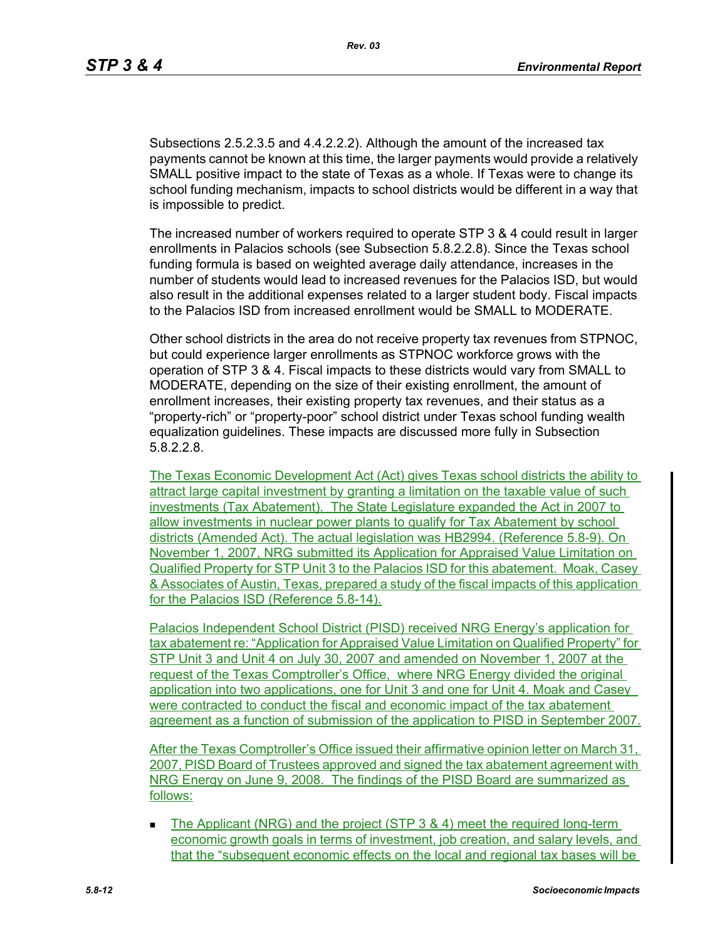Subsections 2.5.2.3.5 and 4.4.2.2.2). Although the amount of the increased tax payments cannot be known at this time, the larger payments would provide a relatively SMALL positive impact to the state of Texas as a whole. If Texas were to change its school funding mechanism, impacts to school districts would be different in a way that is impossible to predict.

The increased number of workers required to operate STP 3 & 4 could result in larger enrollments in Palacios schools (see Subsection 5.8.2.2.8). Since the Texas school funding formula is based on weighted average daily attendance, increases in the number of students would lead to increased revenues for the Palacios ISD, but would also result in the additional expenses related to a larger student body. Fiscal impacts to the Palacios ISD from increased enrollment would be SMALL to MODERATE.

Other school districts in the area do not receive property tax revenues from STPNOC, but could experience larger enrollments as STPNOC workforce grows with the operation of STP 3 & 4. Fiscal impacts to these districts would vary from SMALL to MODERATE, depending on the size of their existing enrollment, the amount of enrollment increases, their existing property tax revenues, and their status as a "property-rich" or "property-poor" school district under Texas school funding wealth equalization guidelines. These impacts are discussed more fully in Subsection 5.8.2.2.8.

The Texas Economic Development Act (Act) gives Texas school districts the ability to attract large capital investment by granting a limitation on the taxable value of such investments (Tax Abatement). The State Legislature expanded the Act in 2007 to allow investments in nuclear power plants to qualify for Tax Abatement by school districts (Amended Act). The actual legislation was HB2994. (Reference 5.8-9). On November 1, 2007, NRG submitted its Application for Appraised Value Limitation on Qualified Property for STP Unit 3 to the Palacios ISD for this abatement. Moak, Casey & Associates of Austin, Texas, prepared a study of the fiscal impacts of this application for the Palacios ISD (Reference 5.8-14).

Palacios Independent School District (PISD) received NRG Energy's application for tax abatement re: "Application for Appraised Value Limitation on Qualified Property" for STP Unit 3 and Unit 4 on July 30, 2007 and amended on November 1, 2007 at the request of the Texas Comptroller's Office, where NRG Energy divided the original application into two applications, one for Unit 3 and one for Unit 4. Moak and Casey were contracted to conduct the fiscal and economic impact of the tax abatement agreement as a function of submission of the application to PISD in September 2007.

After the Texas Comptroller's Office issued their affirmative opinion letter on March 31, 2007, PISD Board of Trustees approved and signed the tax abatement agreement with NRG Energy on June 9, 2008. The findings of the PISD Board are summarized as follows:

The Applicant (NRG) and the project (STP 3 & 4) meet the required long-term economic growth goals in terms of investment, job creation, and salary levels, and that the "subsequent economic effects on the local and regional tax bases will be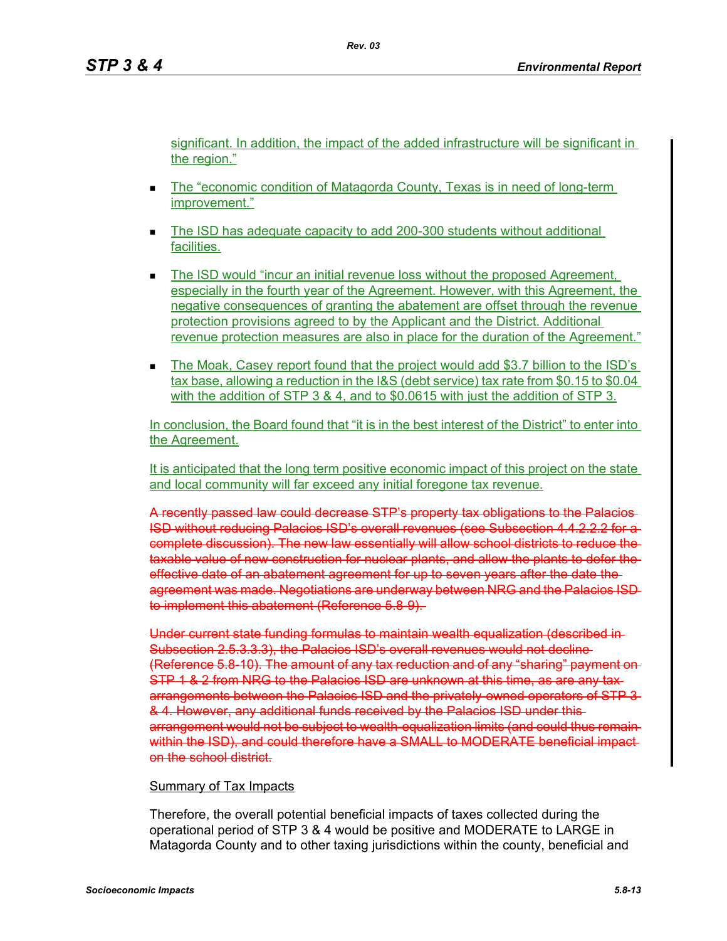significant. In addition, the impact of the added infrastructure will be significant in the region."

- The "economic condition of Matagorda County, Texas is in need of long-term improvement."
- The ISD has adequate capacity to add 200-300 students without additional facilities.
- The ISD would "incur an initial revenue loss without the proposed Agreement, especially in the fourth year of the Agreement. However, with this Agreement, the negative consequences of granting the abatement are offset through the revenue protection provisions agreed to by the Applicant and the District. Additional revenue protection measures are also in place for the duration of the Agreement."
- The Moak, Casey report found that the project would add \$3.7 billion to the ISD's tax base, allowing a reduction in the I&S (debt service) tax rate from \$0.15 to \$0.04 with the addition of STP 3 & 4, and to \$0,0615 with just the addition of STP 3.

In conclusion, the Board found that "it is in the best interest of the District" to enter into the Agreement.

It is anticipated that the long term positive economic impact of this project on the state and local community will far exceed any initial foregone tax revenue.

A recently passed law could decrease STP's property tax obligations to the Palacios ISD without reducing Palacios ISD's overall revenues (see Subsection 4.4.2.2.2 for a complete discussion). The new law essentially will allow school districts to reduce the taxable value of new construction for nuclear plants, and allow the plants to defer the effective date of an abatement agreement for up to seven years after the date the agreement was made. Negotiations are underway between NRG and the Palacios ISD to implement this abatement (Reference 5.8-9).

Under current state funding formulas to maintain wealth equalization (described in Subsection 2.5.3.3.3), the Palacios ISD's overall revenues would not decline (Reference 5.8-10). The amount of any tax reduction and of any "sharing" payment on STP 1 & 2 from NRG to the Palacios ISD are unknown at this time, as are any tax arrangements between the Palacios ISD and the privately-owned operators of STP 3-& 4. However, any additional funds received by the Palacios ISD under this arrangement would not be subject to wealth-equalization limits (and could thus remain within the ISD), and could therefore have a SMALL to MODERATE beneficial impact on the school district.

#### Summary of Tax Impacts

Therefore, the overall potential beneficial impacts of taxes collected during the operational period of STP 3 & 4 would be positive and MODERATE to LARGE in Matagorda County and to other taxing jurisdictions within the county, beneficial and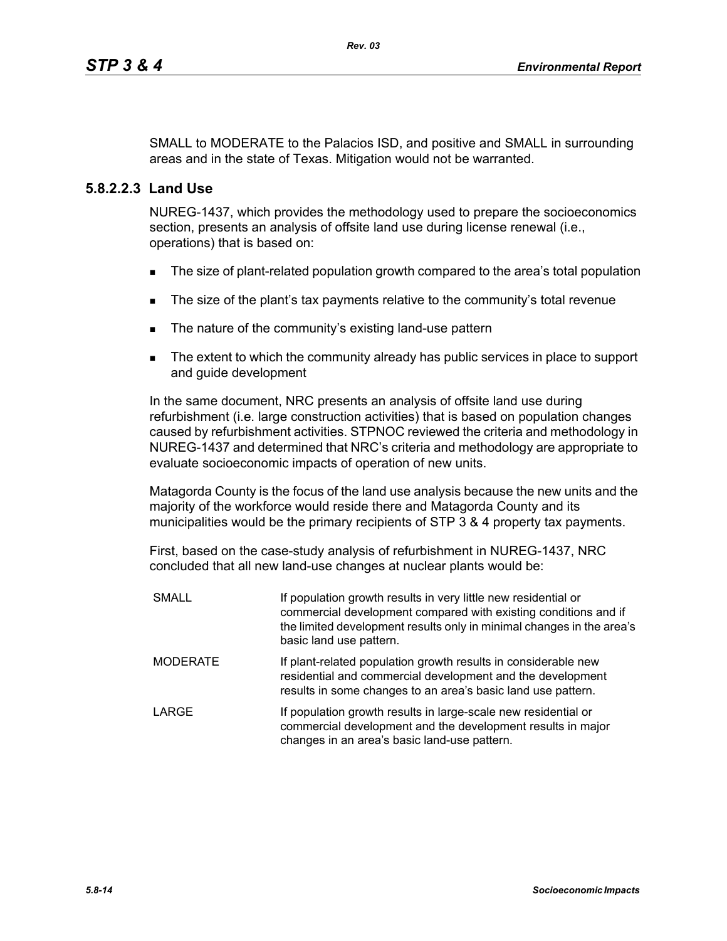SMALL to MODERATE to the Palacios ISD, and positive and SMALL in surrounding areas and in the state of Texas. Mitigation would not be warranted.

## **5.8.2.2.3 Land Use**

NUREG-1437, which provides the methodology used to prepare the socioeconomics section, presents an analysis of offsite land use during license renewal (i.e., operations) that is based on:

- **The size of plant-related population growth compared to the area's total population**
- The size of the plant's tax payments relative to the community's total revenue
- The nature of the community's existing land-use pattern
- The extent to which the community already has public services in place to support and guide development

In the same document, NRC presents an analysis of offsite land use during refurbishment (i.e. large construction activities) that is based on population changes caused by refurbishment activities. STPNOC reviewed the criteria and methodology in NUREG-1437 and determined that NRC's criteria and methodology are appropriate to evaluate socioeconomic impacts of operation of new units.

Matagorda County is the focus of the land use analysis because the new units and the majority of the workforce would reside there and Matagorda County and its municipalities would be the primary recipients of STP 3 & 4 property tax payments.

First, based on the case-study analysis of refurbishment in NUREG-1437, NRC concluded that all new land-use changes at nuclear plants would be:

| <b>SMALL</b>    | If population growth results in very little new residential or<br>commercial development compared with existing conditions and if<br>the limited development results only in minimal changes in the area's<br>basic land use pattern. |  |  |  |  |
|-----------------|---------------------------------------------------------------------------------------------------------------------------------------------------------------------------------------------------------------------------------------|--|--|--|--|
| <b>MODERATE</b> | If plant-related population growth results in considerable new<br>residential and commercial development and the development<br>results in some changes to an area's basic land use pattern.                                          |  |  |  |  |
| <b>LARGE</b>    | If population growth results in large-scale new residential or<br>commercial development and the development results in major<br>changes in an area's basic land-use pattern.                                                         |  |  |  |  |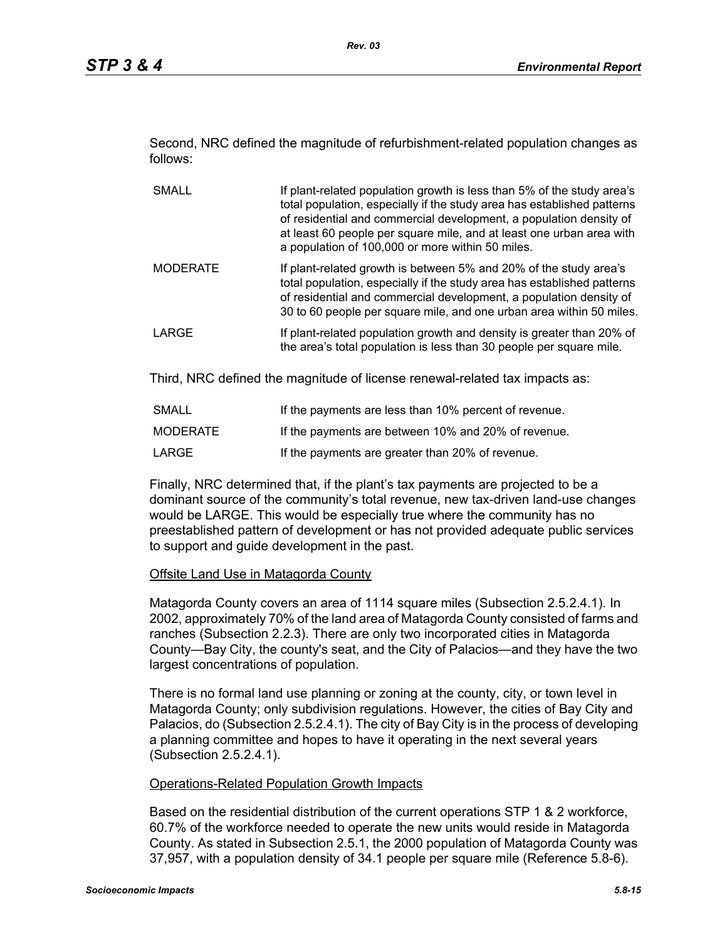Second, NRC defined the magnitude of refurbishment-related population changes as follows:

- SMALL If plant-related population growth is less than 5% of the study area's total population, especially if the study area has established patterns of residential and commercial development, a population density of at least 60 people per square mile, and at least one urban area with a population of 100,000 or more within 50 miles. MODERATE If plant-related growth is between 5% and 20% of the study area's total population, especially if the study area has established patterns of residential and commercial development, a population density of 30 to 60 people per square mile, and one urban area within 50 miles.
- LARGE **If plant-related population growth and density is greater than 20% of** the area's total population is less than 30 people per square mile.

Third, NRC defined the magnitude of license renewal-related tax impacts as:

| SMALL           | If the payments are less than 10% percent of revenue. |
|-----------------|-------------------------------------------------------|
| <b>MODERATE</b> | If the payments are between 10% and 20% of revenue.   |
| LARGE           | If the payments are greater than 20% of revenue.      |

Finally, NRC determined that, if the plant's tax payments are projected to be a dominant source of the community's total revenue, new tax-driven land-use changes would be LARGE. This would be especially true where the community has no preestablished pattern of development or has not provided adequate public services to support and guide development in the past.

## **Offsite Land Use in Matagorda County**

Matagorda County covers an area of 1114 square miles (Subsection 2.5.2.4.1). In 2002, approximately 70% of the land area of Matagorda County consisted of farms and ranches (Subsection 2.2.3). There are only two incorporated cities in Matagorda County—Bay City, the county's seat, and the City of Palacios—and they have the two largest concentrations of population.

There is no formal land use planning or zoning at the county, city, or town level in Matagorda County; only subdivision regulations. However, the cities of Bay City and Palacios, do (Subsection 2.5.2.4.1). The city of Bay City is in the process of developing a planning committee and hopes to have it operating in the next several years (Subsection 2.5.2.4.1).

## Operations-Related Population Growth Impacts

Based on the residential distribution of the current operations STP 1 & 2 workforce, 60.7% of the workforce needed to operate the new units would reside in Matagorda County. As stated in Subsection 2.5.1, the 2000 population of Matagorda County was 37,957, with a population density of 34.1 people per square mile (Reference 5.8-6).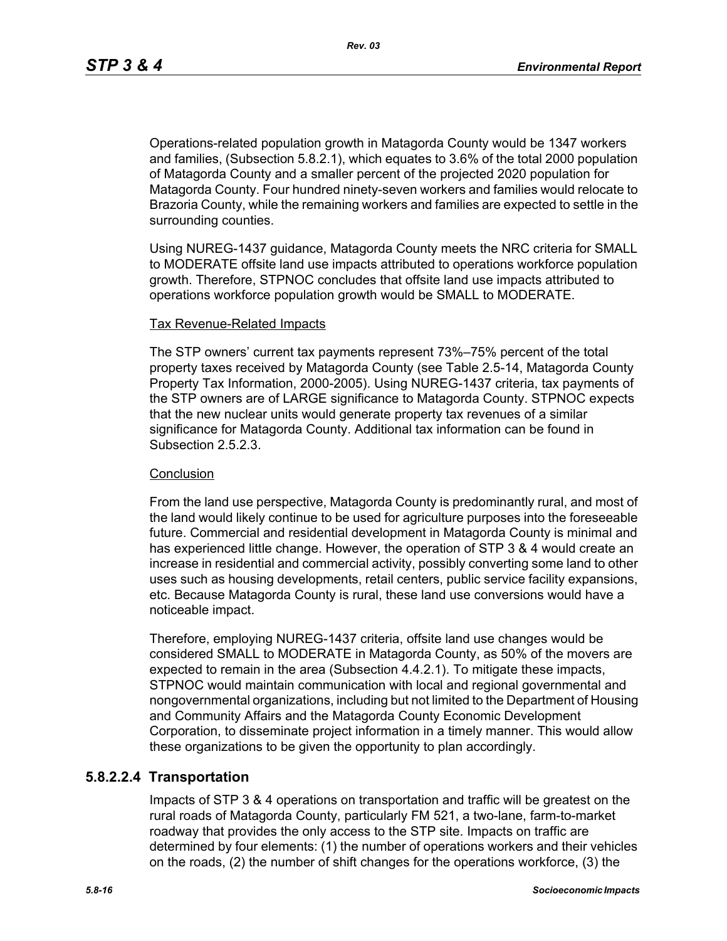Operations-related population growth in Matagorda County would be 1347 workers and families, (Subsection 5.8.2.1), which equates to 3.6% of the total 2000 population of Matagorda County and a smaller percent of the projected 2020 population for Matagorda County. Four hundred ninety-seven workers and families would relocate to Brazoria County, while the remaining workers and families are expected to settle in the surrounding counties.

Using NUREG-1437 guidance, Matagorda County meets the NRC criteria for SMALL to MODERATE offsite land use impacts attributed to operations workforce population growth. Therefore, STPNOC concludes that offsite land use impacts attributed to operations workforce population growth would be SMALL to MODERATE.

#### Tax Revenue-Related Impacts

The STP owners' current tax payments represent 73%–75% percent of the total property taxes received by Matagorda County (see Table 2.5-14, Matagorda County Property Tax Information, 2000-2005). Using NUREG-1437 criteria, tax payments of the STP owners are of LARGE significance to Matagorda County. STPNOC expects that the new nuclear units would generate property tax revenues of a similar significance for Matagorda County. Additional tax information can be found in Subsection 2.5.2.3.

#### **Conclusion**

From the land use perspective, Matagorda County is predominantly rural, and most of the land would likely continue to be used for agriculture purposes into the foreseeable future. Commercial and residential development in Matagorda County is minimal and has experienced little change. However, the operation of STP 3 & 4 would create an increase in residential and commercial activity, possibly converting some land to other uses such as housing developments, retail centers, public service facility expansions, etc. Because Matagorda County is rural, these land use conversions would have a noticeable impact.

Therefore, employing NUREG-1437 criteria, offsite land use changes would be considered SMALL to MODERATE in Matagorda County, as 50% of the movers are expected to remain in the area (Subsection 4.4.2.1). To mitigate these impacts, STPNOC would maintain communication with local and regional governmental and nongovernmental organizations, including but not limited to the Department of Housing and Community Affairs and the Matagorda County Economic Development Corporation, to disseminate project information in a timely manner. This would allow these organizations to be given the opportunity to plan accordingly.

## **5.8.2.2.4 Transportation**

Impacts of STP 3 & 4 operations on transportation and traffic will be greatest on the rural roads of Matagorda County, particularly FM 521, a two-lane, farm-to-market roadway that provides the only access to the STP site. Impacts on traffic are determined by four elements: (1) the number of operations workers and their vehicles on the roads, (2) the number of shift changes for the operations workforce, (3) the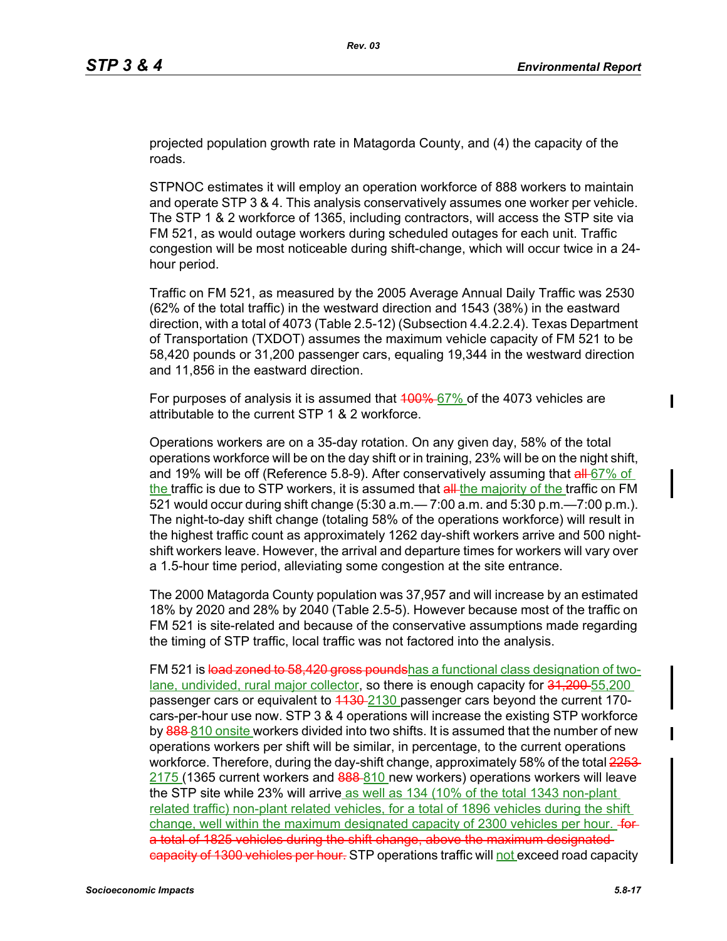projected population growth rate in Matagorda County, and (4) the capacity of the roads.

STPNOC estimates it will employ an operation workforce of 888 workers to maintain and operate STP 3 & 4. This analysis conservatively assumes one worker per vehicle. The STP 1 & 2 workforce of 1365, including contractors, will access the STP site via FM 521, as would outage workers during scheduled outages for each unit. Traffic congestion will be most noticeable during shift-change, which will occur twice in a 24 hour period.

Traffic on FM 521, as measured by the 2005 Average Annual Daily Traffic was 2530 (62% of the total traffic) in the westward direction and 1543 (38%) in the eastward direction, with a total of 4073 (Table 2.5-12) (Subsection 4.4.2.2.4). Texas Department of Transportation (TXDOT) assumes the maximum vehicle capacity of FM 521 to be 58,420 pounds or 31,200 passenger cars, equaling 19,344 in the westward direction and 11,856 in the eastward direction.

For purposes of analysis it is assumed that  $400\%$  67% of the 4073 vehicles are attributable to the current STP 1 & 2 workforce.

Operations workers are on a 35-day rotation. On any given day, 58% of the total operations workforce will be on the day shift or in training, 23% will be on the night shift, and 19% will be off (Reference 5.8-9). After conservatively assuming that  $aH$ -67% of the traffic is due to STP workers, it is assumed that all-the majority of the traffic on FM 521 would occur during shift change (5:30 a.m.— 7:00 a.m. and 5:30 p.m.—7:00 p.m.). The night-to-day shift change (totaling 58% of the operations workforce) will result in the highest traffic count as approximately 1262 day-shift workers arrive and 500 nightshift workers leave. However, the arrival and departure times for workers will vary over a 1.5-hour time period, alleviating some congestion at the site entrance.

The 2000 Matagorda County population was 37,957 and will increase by an estimated 18% by 2020 and 28% by 2040 (Table 2.5-5). However because most of the traffic on FM 521 is site-related and because of the conservative assumptions made regarding the timing of STP traffic, local traffic was not factored into the analysis.

FM 521 is load zoned to 58,420 gross poundshas a functional class designation of twolane, undivided, rural major collector, so there is enough capacity for 31,200-55,200 passenger cars or equivalent to 4430-2130 passenger cars beyond the current 170cars-per-hour use now. STP 3 & 4 operations will increase the existing STP workforce by 888-810 onsite workers divided into two shifts. It is assumed that the number of new operations workers per shift will be similar, in percentage, to the current operations workforce. Therefore, during the day-shift change, approximately 58% of the total 2253-2175 (1365 current workers and 888-810 new workers) operations workers will leave the STP site while 23% will arrive as well as 134 (10% of the total 1343 non-plant related traffic) non-plant related vehicles, for a total of 1896 vehicles during the shift change, well within the maximum designated capacity of 2300 vehicles per hour. for a total of 1825 vehicles during the shift change, above the maximum designated eapacity of 1300 vehicles per hour. STP operations traffic will not exceed road capacity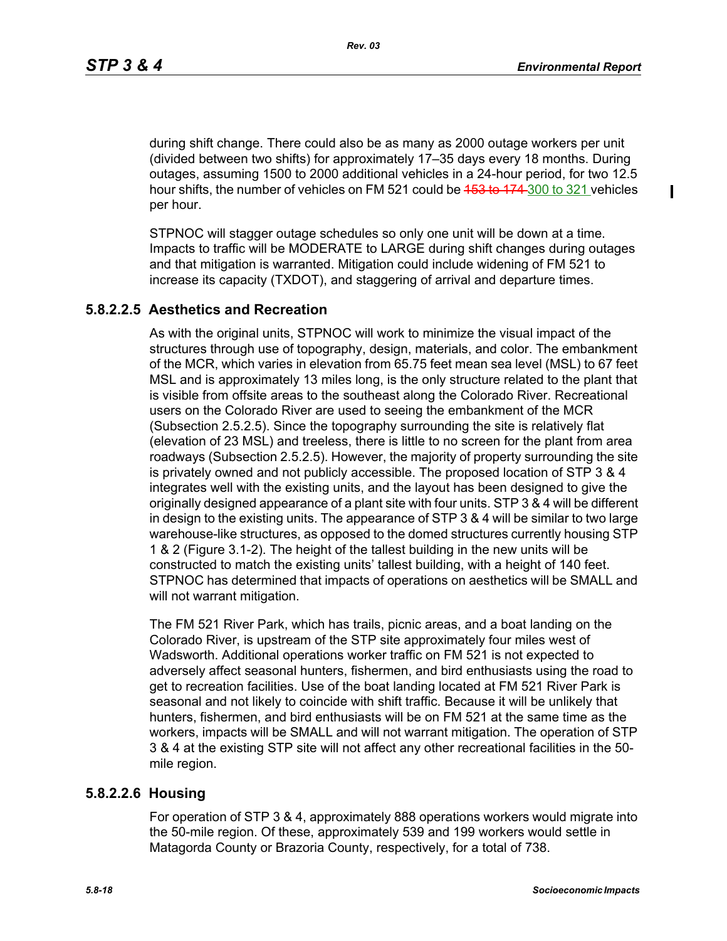ı

during shift change. There could also be as many as 2000 outage workers per unit (divided between two shifts) for approximately 17–35 days every 18 months. During outages, assuming 1500 to 2000 additional vehicles in a 24-hour period, for two 12.5 hour shifts, the number of vehicles on FM 521 could be 453 to 174 300 to 321 vehicles per hour.

STPNOC will stagger outage schedules so only one unit will be down at a time. Impacts to traffic will be MODERATE to LARGE during shift changes during outages and that mitigation is warranted. Mitigation could include widening of FM 521 to increase its capacity (TXDOT), and staggering of arrival and departure times.

## **5.8.2.2.5 Aesthetics and Recreation**

As with the original units, STPNOC will work to minimize the visual impact of the structures through use of topography, design, materials, and color. The embankment of the MCR, which varies in elevation from 65.75 feet mean sea level (MSL) to 67 feet MSL and is approximately 13 miles long, is the only structure related to the plant that is visible from offsite areas to the southeast along the Colorado River. Recreational users on the Colorado River are used to seeing the embankment of the MCR (Subsection 2.5.2.5). Since the topography surrounding the site is relatively flat (elevation of 23 MSL) and treeless, there is little to no screen for the plant from area roadways (Subsection 2.5.2.5). However, the majority of property surrounding the site is privately owned and not publicly accessible. The proposed location of STP 3 & 4 integrates well with the existing units, and the layout has been designed to give the originally designed appearance of a plant site with four units. STP 3 & 4 will be different in design to the existing units. The appearance of STP 3 & 4 will be similar to two large warehouse-like structures, as opposed to the domed structures currently housing STP 1 & 2 (Figure 3.1-2). The height of the tallest building in the new units will be constructed to match the existing units' tallest building, with a height of 140 feet. STPNOC has determined that impacts of operations on aesthetics will be SMALL and will not warrant mitigation.

The FM 521 River Park, which has trails, picnic areas, and a boat landing on the Colorado River, is upstream of the STP site approximately four miles west of Wadsworth. Additional operations worker traffic on FM 521 is not expected to adversely affect seasonal hunters, fishermen, and bird enthusiasts using the road to get to recreation facilities. Use of the boat landing located at FM 521 River Park is seasonal and not likely to coincide with shift traffic. Because it will be unlikely that hunters, fishermen, and bird enthusiasts will be on FM 521 at the same time as the workers, impacts will be SMALL and will not warrant mitigation. The operation of STP 3 & 4 at the existing STP site will not affect any other recreational facilities in the 50 mile region.

## **5.8.2.2.6 Housing**

For operation of STP 3 & 4, approximately 888 operations workers would migrate into the 50-mile region. Of these, approximately 539 and 199 workers would settle in Matagorda County or Brazoria County, respectively, for a total of 738.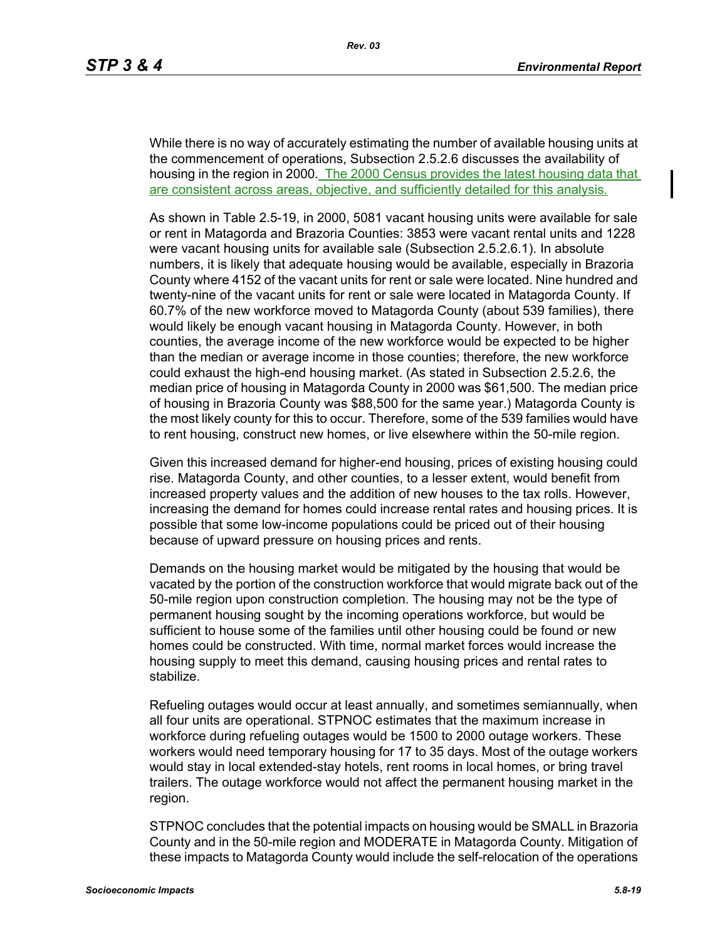While there is no way of accurately estimating the number of available housing units at the commencement of operations, Subsection 2.5.2.6 discusses the availability of housing in the region in 2000. The 2000 Census provides the latest housing data that are consistent across areas, objective, and sufficiently detailed for this analysis.

As shown in Table 2.5-19, in 2000, 5081 vacant housing units were available for sale or rent in Matagorda and Brazoria Counties: 3853 were vacant rental units and 1228 were vacant housing units for available sale (Subsection 2.5.2.6.1). In absolute numbers, it is likely that adequate housing would be available, especially in Brazoria County where 4152 of the vacant units for rent or sale were located. Nine hundred and twenty-nine of the vacant units for rent or sale were located in Matagorda County. If 60.7% of the new workforce moved to Matagorda County (about 539 families), there would likely be enough vacant housing in Matagorda County. However, in both counties, the average income of the new workforce would be expected to be higher than the median or average income in those counties; therefore, the new workforce could exhaust the high-end housing market. (As stated in Subsection 2.5.2.6, the median price of housing in Matagorda County in 2000 was \$61,500. The median price of housing in Brazoria County was \$88,500 for the same year.) Matagorda County is the most likely county for this to occur. Therefore, some of the 539 families would have to rent housing, construct new homes, or live elsewhere within the 50-mile region.

Given this increased demand for higher-end housing, prices of existing housing could rise. Matagorda County, and other counties, to a lesser extent, would benefit from increased property values and the addition of new houses to the tax rolls. However, increasing the demand for homes could increase rental rates and housing prices. It is possible that some low-income populations could be priced out of their housing because of upward pressure on housing prices and rents.

Demands on the housing market would be mitigated by the housing that would be vacated by the portion of the construction workforce that would migrate back out of the 50-mile region upon construction completion. The housing may not be the type of permanent housing sought by the incoming operations workforce, but would be sufficient to house some of the families until other housing could be found or new homes could be constructed. With time, normal market forces would increase the housing supply to meet this demand, causing housing prices and rental rates to stabilize.

Refueling outages would occur at least annually, and sometimes semiannually, when all four units are operational. STPNOC estimates that the maximum increase in workforce during refueling outages would be 1500 to 2000 outage workers. These workers would need temporary housing for 17 to 35 days. Most of the outage workers would stay in local extended-stay hotels, rent rooms in local homes, or bring travel trailers. The outage workforce would not affect the permanent housing market in the region.

STPNOC concludes that the potential impacts on housing would be SMALL in Brazoria County and in the 50-mile region and MODERATE in Matagorda County. Mitigation of these impacts to Matagorda County would include the self-relocation of the operations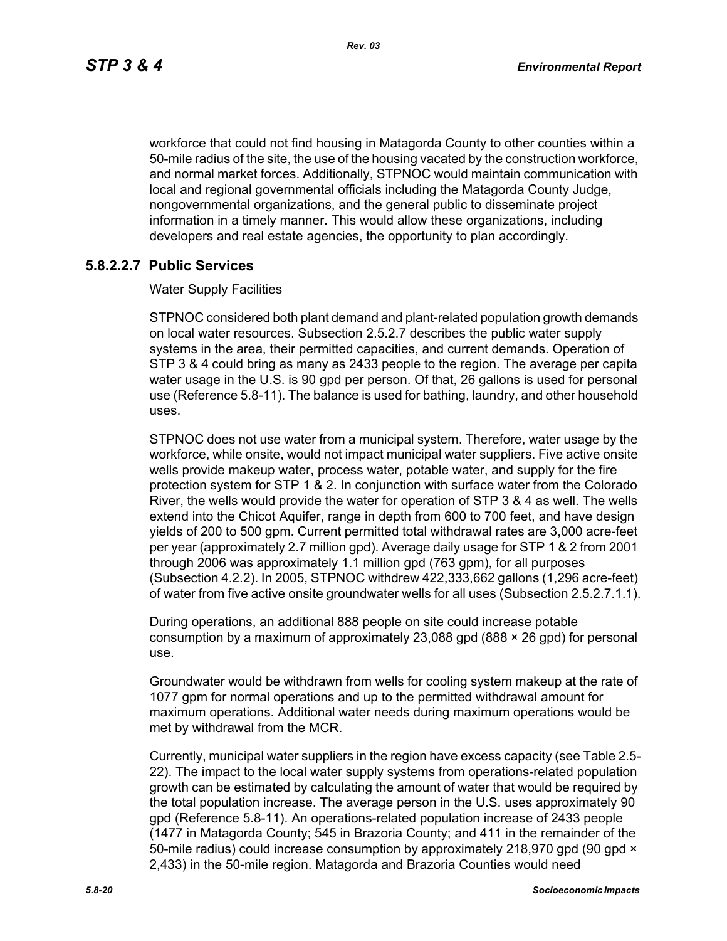workforce that could not find housing in Matagorda County to other counties within a 50-mile radius of the site, the use of the housing vacated by the construction workforce, and normal market forces. Additionally, STPNOC would maintain communication with local and regional governmental officials including the Matagorda County Judge, nongovernmental organizations, and the general public to disseminate project information in a timely manner. This would allow these organizations, including developers and real estate agencies, the opportunity to plan accordingly.

## **5.8.2.2.7 Public Services**

### Water Supply Facilities

STPNOC considered both plant demand and plant-related population growth demands on local water resources. Subsection 2.5.2.7 describes the public water supply systems in the area, their permitted capacities, and current demands. Operation of STP 3 & 4 could bring as many as 2433 people to the region. The average per capita water usage in the U.S. is 90 gpd per person. Of that, 26 gallons is used for personal use (Reference 5.8-11). The balance is used for bathing, laundry, and other household uses.

STPNOC does not use water from a municipal system. Therefore, water usage by the workforce, while onsite, would not impact municipal water suppliers. Five active onsite wells provide makeup water, process water, potable water, and supply for the fire protection system for STP 1 & 2. In conjunction with surface water from the Colorado River, the wells would provide the water for operation of STP 3 & 4 as well. The wells extend into the Chicot Aquifer, range in depth from 600 to 700 feet, and have design yields of 200 to 500 gpm. Current permitted total withdrawal rates are 3,000 acre-feet per year (approximately 2.7 million gpd). Average daily usage for STP 1 & 2 from 2001 through 2006 was approximately 1.1 million gpd (763 gpm), for all purposes (Subsection 4.2.2). In 2005, STPNOC withdrew 422,333,662 gallons (1,296 acre-feet) of water from five active onsite groundwater wells for all uses (Subsection 2.5.2.7.1.1).

During operations, an additional 888 people on site could increase potable consumption by a maximum of approximately 23,088 gpd  $(888 \times 26$  gpd) for personal use.

Groundwater would be withdrawn from wells for cooling system makeup at the rate of 1077 gpm for normal operations and up to the permitted withdrawal amount for maximum operations. Additional water needs during maximum operations would be met by withdrawal from the MCR.

Currently, municipal water suppliers in the region have excess capacity (see Table 2.5- 22). The impact to the local water supply systems from operations-related population growth can be estimated by calculating the amount of water that would be required by the total population increase. The average person in the U.S. uses approximately 90 gpd (Reference 5.8-11). An operations-related population increase of 2433 people (1477 in Matagorda County; 545 in Brazoria County; and 411 in the remainder of the 50-mile radius) could increase consumption by approximately 218,970 gpd (90 gpd  $\times$ 2,433) in the 50-mile region. Matagorda and Brazoria Counties would need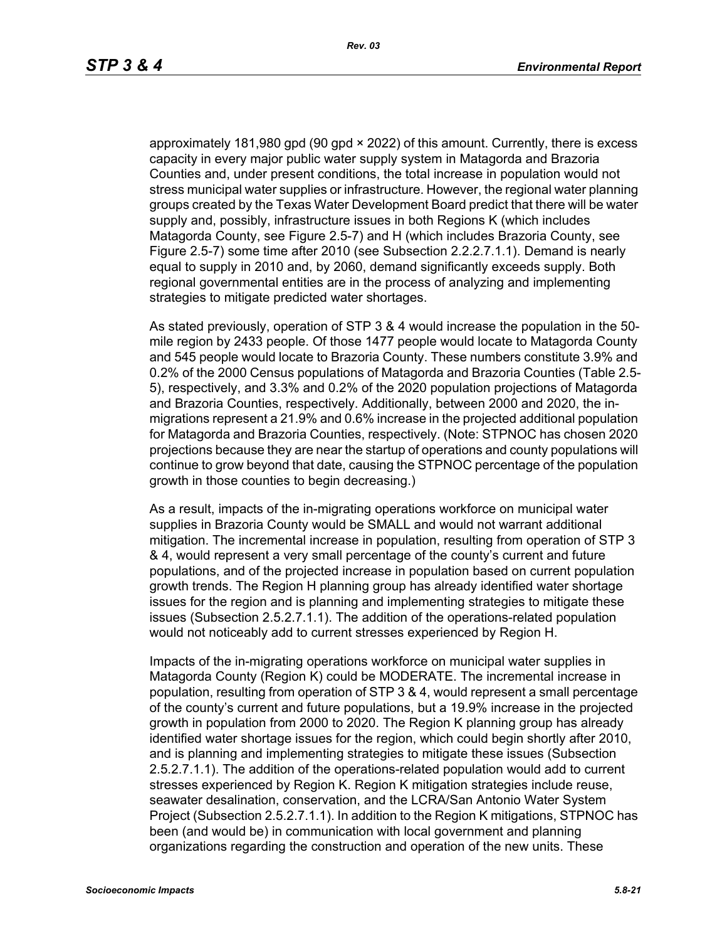approximately 181,980 gpd (90 gpd × 2022) of this amount. Currently, there is excess capacity in every major public water supply system in Matagorda and Brazoria Counties and, under present conditions, the total increase in population would not stress municipal water supplies or infrastructure. However, the regional water planning groups created by the Texas Water Development Board predict that there will be water supply and, possibly, infrastructure issues in both Regions K (which includes Matagorda County, see Figure 2.5-7) and H (which includes Brazoria County, see Figure 2.5-7) some time after 2010 (see Subsection 2.2.2.7.1.1). Demand is nearly equal to supply in 2010 and, by 2060, demand significantly exceeds supply. Both regional governmental entities are in the process of analyzing and implementing strategies to mitigate predicted water shortages.

As stated previously, operation of STP 3 & 4 would increase the population in the 50 mile region by 2433 people. Of those 1477 people would locate to Matagorda County and 545 people would locate to Brazoria County. These numbers constitute 3.9% and 0.2% of the 2000 Census populations of Matagorda and Brazoria Counties (Table 2.5- 5), respectively, and 3.3% and 0.2% of the 2020 population projections of Matagorda and Brazoria Counties, respectively. Additionally, between 2000 and 2020, the inmigrations represent a 21.9% and 0.6% increase in the projected additional population for Matagorda and Brazoria Counties, respectively. (Note: STPNOC has chosen 2020 projections because they are near the startup of operations and county populations will continue to grow beyond that date, causing the STPNOC percentage of the population growth in those counties to begin decreasing.)

As a result, impacts of the in-migrating operations workforce on municipal water supplies in Brazoria County would be SMALL and would not warrant additional mitigation. The incremental increase in population, resulting from operation of STP 3 & 4, would represent a very small percentage of the county's current and future populations, and of the projected increase in population based on current population growth trends. The Region H planning group has already identified water shortage issues for the region and is planning and implementing strategies to mitigate these issues (Subsection 2.5.2.7.1.1). The addition of the operations-related population would not noticeably add to current stresses experienced by Region H.

Impacts of the in-migrating operations workforce on municipal water supplies in Matagorda County (Region K) could be MODERATE. The incremental increase in population, resulting from operation of STP 3 & 4, would represent a small percentage of the county's current and future populations, but a 19.9% increase in the projected growth in population from 2000 to 2020. The Region K planning group has already identified water shortage issues for the region, which could begin shortly after 2010, and is planning and implementing strategies to mitigate these issues (Subsection 2.5.2.7.1.1). The addition of the operations-related population would add to current stresses experienced by Region K. Region K mitigation strategies include reuse, seawater desalination, conservation, and the LCRA/San Antonio Water System Project (Subsection 2.5.2.7.1.1). In addition to the Region K mitigations, STPNOC has been (and would be) in communication with local government and planning organizations regarding the construction and operation of the new units. These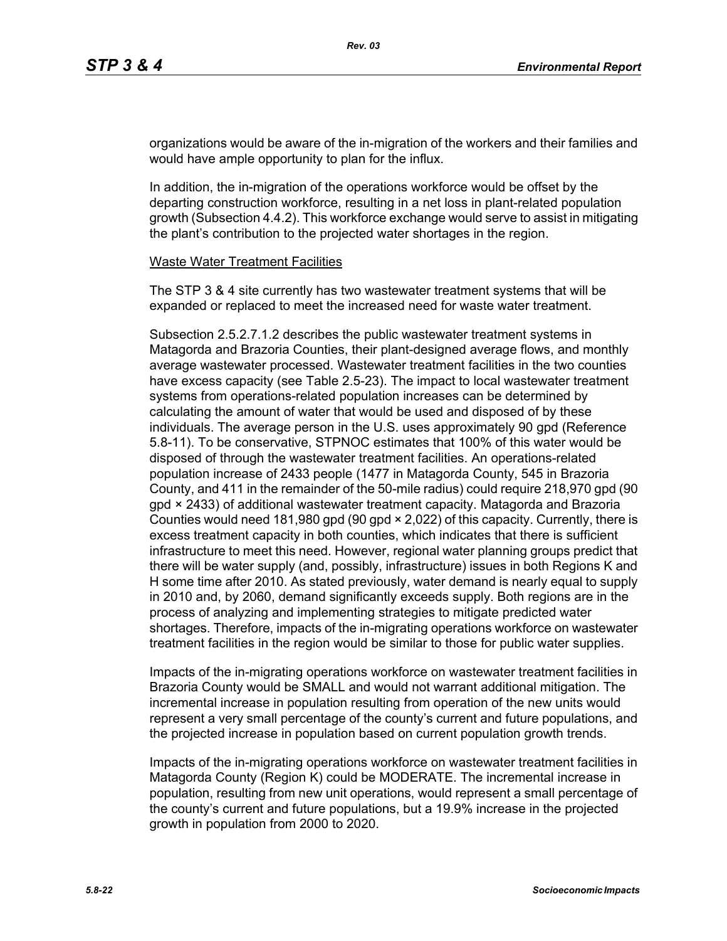organizations would be aware of the in-migration of the workers and their families and would have ample opportunity to plan for the influx.

In addition, the in-migration of the operations workforce would be offset by the departing construction workforce, resulting in a net loss in plant-related population growth (Subsection 4.4.2). This workforce exchange would serve to assist in mitigating the plant's contribution to the projected water shortages in the region.

#### Waste Water Treatment Facilities

The STP 3 & 4 site currently has two wastewater treatment systems that will be expanded or replaced to meet the increased need for waste water treatment.

Subsection 2.5.2.7.1.2 describes the public wastewater treatment systems in Matagorda and Brazoria Counties, their plant-designed average flows, and monthly average wastewater processed. Wastewater treatment facilities in the two counties have excess capacity (see Table 2.5-23). The impact to local wastewater treatment systems from operations-related population increases can be determined by calculating the amount of water that would be used and disposed of by these individuals. The average person in the U.S. uses approximately 90 gpd (Reference 5.8-11). To be conservative, STPNOC estimates that 100% of this water would be disposed of through the wastewater treatment facilities. An operations-related population increase of 2433 people (1477 in Matagorda County, 545 in Brazoria County, and 411 in the remainder of the 50-mile radius) could require 218,970 gpd (90 gpd × 2433) of additional wastewater treatment capacity. Matagorda and Brazoria Counties would need 181,980 gpd (90 gpd × 2,022) of this capacity. Currently, there is excess treatment capacity in both counties, which indicates that there is sufficient infrastructure to meet this need. However, regional water planning groups predict that there will be water supply (and, possibly, infrastructure) issues in both Regions K and H some time after 2010. As stated previously, water demand is nearly equal to supply in 2010 and, by 2060, demand significantly exceeds supply. Both regions are in the process of analyzing and implementing strategies to mitigate predicted water shortages. Therefore, impacts of the in-migrating operations workforce on wastewater treatment facilities in the region would be similar to those for public water supplies.

Impacts of the in-migrating operations workforce on wastewater treatment facilities in Brazoria County would be SMALL and would not warrant additional mitigation. The incremental increase in population resulting from operation of the new units would represent a very small percentage of the county's current and future populations, and the projected increase in population based on current population growth trends.

Impacts of the in-migrating operations workforce on wastewater treatment facilities in Matagorda County (Region K) could be MODERATE. The incremental increase in population, resulting from new unit operations, would represent a small percentage of the county's current and future populations, but a 19.9% increase in the projected growth in population from 2000 to 2020.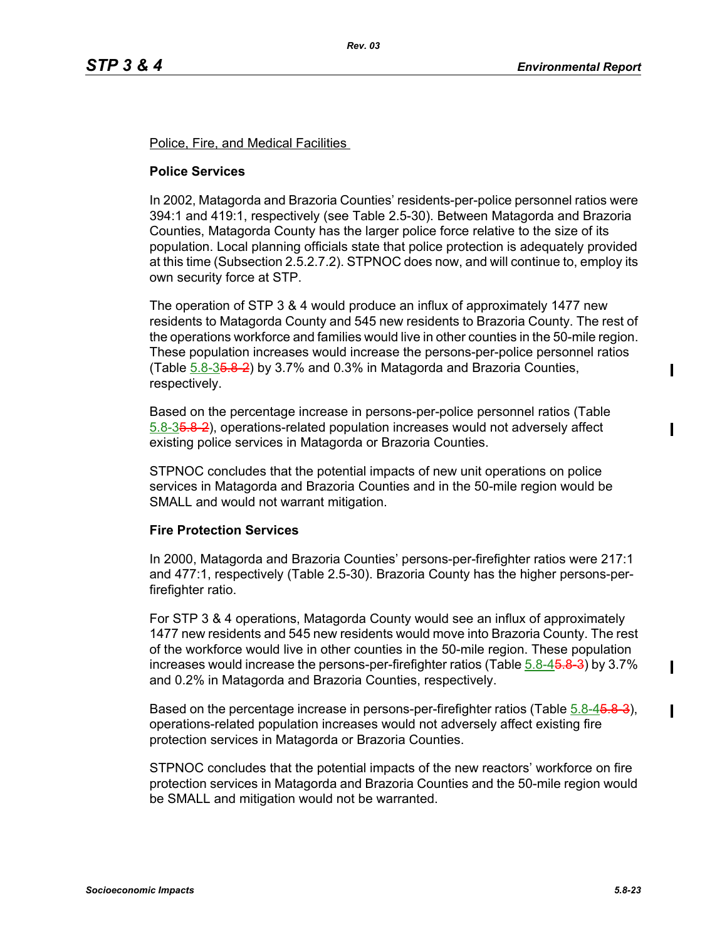Police, Fire, and Medical Facilities

## **Police Services**

In 2002, Matagorda and Brazoria Counties' residents-per-police personnel ratios were 394:1 and 419:1, respectively (see Table 2.5-30). Between Matagorda and Brazoria Counties, Matagorda County has the larger police force relative to the size of its population. Local planning officials state that police protection is adequately provided at this time (Subsection 2.5.2.7.2). STPNOC does now, and will continue to, employ its own security force at STP.

The operation of STP 3 & 4 would produce an influx of approximately 1477 new residents to Matagorda County and 545 new residents to Brazoria County. The rest of the operations workforce and families would live in other counties in the 50-mile region. These population increases would increase the persons-per-police personnel ratios (Table 5.8-35.8-2) by 3.7% and 0.3% in Matagorda and Brazoria Counties, respectively.

Based on the percentage increase in persons-per-police personnel ratios (Table 5.8-35.8-2), operations-related population increases would not adversely affect existing police services in Matagorda or Brazoria Counties.

STPNOC concludes that the potential impacts of new unit operations on police services in Matagorda and Brazoria Counties and in the 50-mile region would be SMALL and would not warrant mitigation.

## **Fire Protection Services**

In 2000, Matagorda and Brazoria Counties' persons-per-firefighter ratios were 217:1 and 477:1, respectively (Table 2.5-30). Brazoria County has the higher persons-perfirefighter ratio.

For STP 3 & 4 operations, Matagorda County would see an influx of approximately 1477 new residents and 545 new residents would move into Brazoria County. The rest of the workforce would live in other counties in the 50-mile region. These population increases would increase the persons-per-firefighter ratios (Table  $5.8-45.8-3$ ) by 3.7% and 0.2% in Matagorda and Brazoria Counties, respectively.

Based on the percentage increase in persons-per-firefighter ratios (Table 5.8-4<del>5.8-3</del>), operations-related population increases would not adversely affect existing fire protection services in Matagorda or Brazoria Counties.

STPNOC concludes that the potential impacts of the new reactors' workforce on fire protection services in Matagorda and Brazoria Counties and the 50-mile region would be SMALL and mitigation would not be warranted.

ı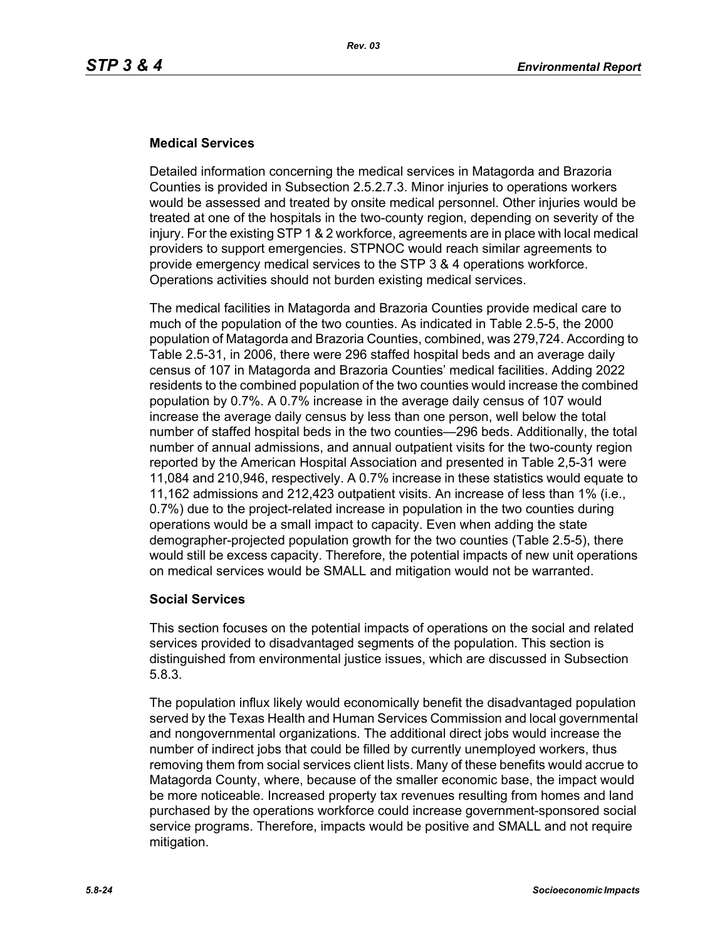## **Medical Services**

Detailed information concerning the medical services in Matagorda and Brazoria Counties is provided in Subsection 2.5.2.7.3. Minor injuries to operations workers would be assessed and treated by onsite medical personnel. Other injuries would be treated at one of the hospitals in the two-county region, depending on severity of the injury. For the existing STP 1 & 2 workforce, agreements are in place with local medical providers to support emergencies. STPNOC would reach similar agreements to provide emergency medical services to the STP 3 & 4 operations workforce. Operations activities should not burden existing medical services.

The medical facilities in Matagorda and Brazoria Counties provide medical care to much of the population of the two counties. As indicated in Table 2.5-5, the 2000 population of Matagorda and Brazoria Counties, combined, was 279,724. According to Table 2.5-31, in 2006, there were 296 staffed hospital beds and an average daily census of 107 in Matagorda and Brazoria Counties' medical facilities. Adding 2022 residents to the combined population of the two counties would increase the combined population by 0.7%. A 0.7% increase in the average daily census of 107 would increase the average daily census by less than one person, well below the total number of staffed hospital beds in the two counties—296 beds. Additionally, the total number of annual admissions, and annual outpatient visits for the two-county region reported by the American Hospital Association and presented in Table 2,5-31 were 11,084 and 210,946, respectively. A 0.7% increase in these statistics would equate to 11,162 admissions and 212,423 outpatient visits. An increase of less than 1% (i.e., 0.7%) due to the project-related increase in population in the two counties during operations would be a small impact to capacity. Even when adding the state demographer-projected population growth for the two counties (Table 2.5-5), there would still be excess capacity. Therefore, the potential impacts of new unit operations on medical services would be SMALL and mitigation would not be warranted.

## **Social Services**

This section focuses on the potential impacts of operations on the social and related services provided to disadvantaged segments of the population. This section is distinguished from environmental justice issues, which are discussed in Subsection 5.8.3.

The population influx likely would economically benefit the disadvantaged population served by the Texas Health and Human Services Commission and local governmental and nongovernmental organizations. The additional direct jobs would increase the number of indirect jobs that could be filled by currently unemployed workers, thus removing them from social services client lists. Many of these benefits would accrue to Matagorda County, where, because of the smaller economic base, the impact would be more noticeable. Increased property tax revenues resulting from homes and land purchased by the operations workforce could increase government-sponsored social service programs. Therefore, impacts would be positive and SMALL and not require mitigation.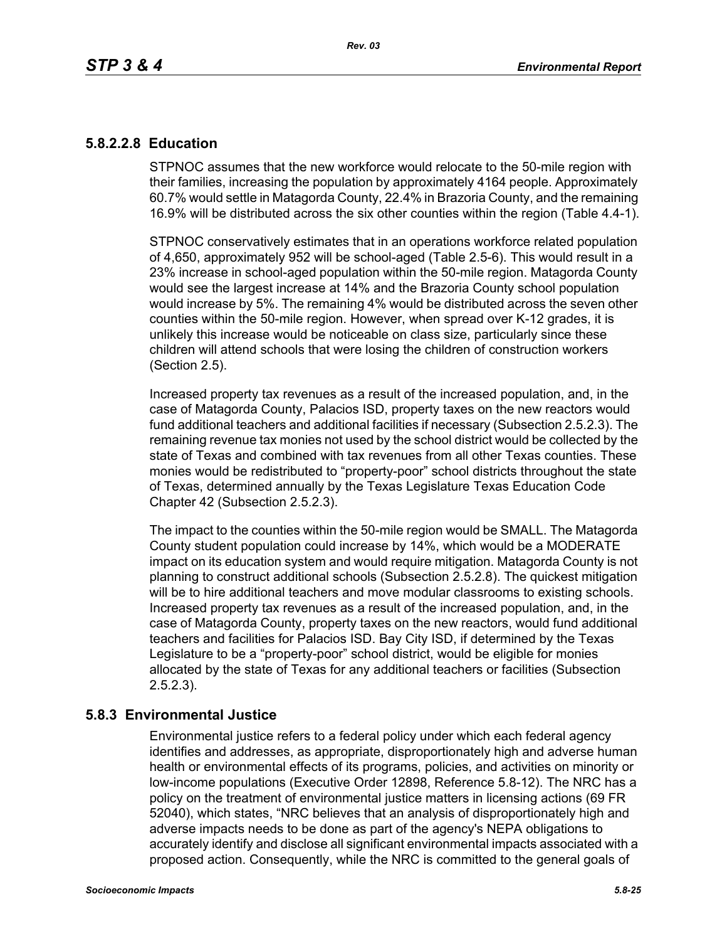## **5.8.2.2.8 Education**

STPNOC assumes that the new workforce would relocate to the 50-mile region with their families, increasing the population by approximately 4164 people. Approximately 60.7% would settle in Matagorda County, 22.4% in Brazoria County, and the remaining 16.9% will be distributed across the six other counties within the region (Table 4.4-1).

STPNOC conservatively estimates that in an operations workforce related population of 4,650, approximately 952 will be school-aged (Table 2.5-6). This would result in a 23% increase in school-aged population within the 50-mile region. Matagorda County would see the largest increase at 14% and the Brazoria County school population would increase by 5%. The remaining 4% would be distributed across the seven other counties within the 50-mile region. However, when spread over K-12 grades, it is unlikely this increase would be noticeable on class size, particularly since these children will attend schools that were losing the children of construction workers (Section 2.5).

Increased property tax revenues as a result of the increased population, and, in the case of Matagorda County, Palacios ISD, property taxes on the new reactors would fund additional teachers and additional facilities if necessary (Subsection 2.5.2.3). The remaining revenue tax monies not used by the school district would be collected by the state of Texas and combined with tax revenues from all other Texas counties. These monies would be redistributed to "property-poor" school districts throughout the state of Texas, determined annually by the Texas Legislature Texas Education Code Chapter 42 (Subsection 2.5.2.3).

The impact to the counties within the 50-mile region would be SMALL. The Matagorda County student population could increase by 14%, which would be a MODERATE impact on its education system and would require mitigation. Matagorda County is not planning to construct additional schools (Subsection 2.5.2.8). The quickest mitigation will be to hire additional teachers and move modular classrooms to existing schools. Increased property tax revenues as a result of the increased population, and, in the case of Matagorda County, property taxes on the new reactors, would fund additional teachers and facilities for Palacios ISD. Bay City ISD, if determined by the Texas Legislature to be a "property-poor" school district, would be eligible for monies allocated by the state of Texas for any additional teachers or facilities (Subsection 2.5.2.3).

## **5.8.3 Environmental Justice**

Environmental justice refers to a federal policy under which each federal agency identifies and addresses, as appropriate, disproportionately high and adverse human health or environmental effects of its programs, policies, and activities on minority or low-income populations (Executive Order 12898, Reference 5.8-12). The NRC has a policy on the treatment of environmental justice matters in licensing actions (69 FR 52040), which states, "NRC believes that an analysis of disproportionately high and adverse impacts needs to be done as part of the agency's NEPA obligations to accurately identify and disclose all significant environmental impacts associated with a proposed action. Consequently, while the NRC is committed to the general goals of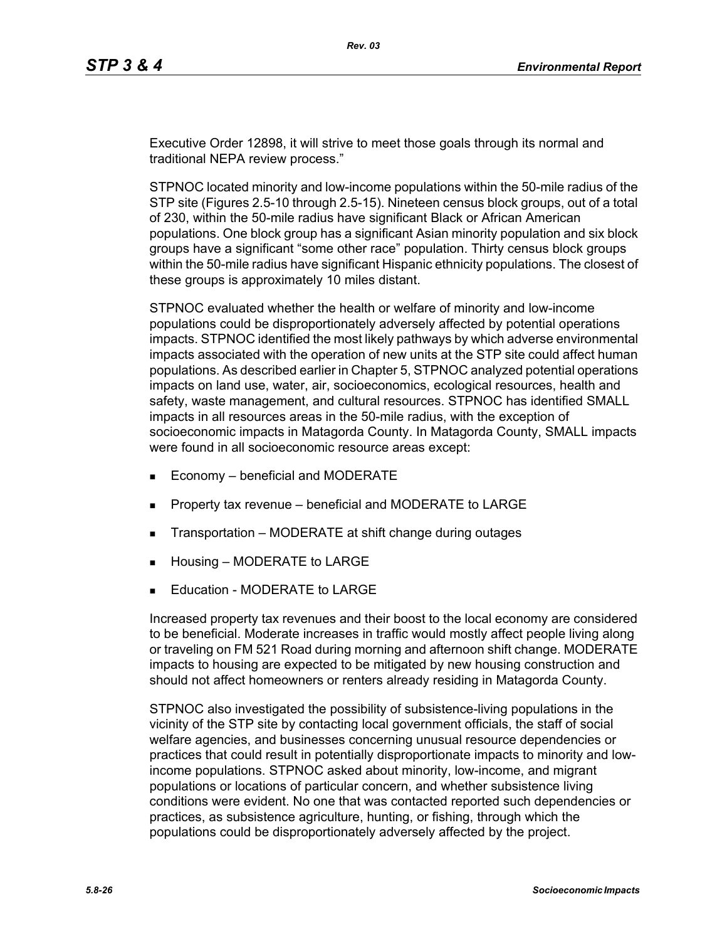Executive Order 12898, it will strive to meet those goals through its normal and traditional NEPA review process."

STPNOC located minority and low-income populations within the 50-mile radius of the STP site (Figures 2.5-10 through 2.5-15). Nineteen census block groups, out of a total of 230, within the 50-mile radius have significant Black or African American populations. One block group has a significant Asian minority population and six block groups have a significant "some other race" population. Thirty census block groups within the 50-mile radius have significant Hispanic ethnicity populations. The closest of these groups is approximately 10 miles distant.

STPNOC evaluated whether the health or welfare of minority and low-income populations could be disproportionately adversely affected by potential operations impacts. STPNOC identified the most likely pathways by which adverse environmental impacts associated with the operation of new units at the STP site could affect human populations. As described earlier in Chapter 5, STPNOC analyzed potential operations impacts on land use, water, air, socioeconomics, ecological resources, health and safety, waste management, and cultural resources. STPNOC has identified SMALL impacts in all resources areas in the 50-mile radius, with the exception of socioeconomic impacts in Matagorda County. In Matagorda County, SMALL impacts were found in all socioeconomic resource areas except:

- **Economy beneficial and MODERATE**
- Property tax revenue beneficial and MODERATE to LARGE
- **Transportation MODERATE at shift change during outages**
- **Housing MODERATE to LARGE**
- **Education MODERATE to LARGE**

Increased property tax revenues and their boost to the local economy are considered to be beneficial. Moderate increases in traffic would mostly affect people living along or traveling on FM 521 Road during morning and afternoon shift change. MODERATE impacts to housing are expected to be mitigated by new housing construction and should not affect homeowners or renters already residing in Matagorda County.

STPNOC also investigated the possibility of subsistence-living populations in the vicinity of the STP site by contacting local government officials, the staff of social welfare agencies, and businesses concerning unusual resource dependencies or practices that could result in potentially disproportionate impacts to minority and lowincome populations. STPNOC asked about minority, low-income, and migrant populations or locations of particular concern, and whether subsistence living conditions were evident. No one that was contacted reported such dependencies or practices, as subsistence agriculture, hunting, or fishing, through which the populations could be disproportionately adversely affected by the project.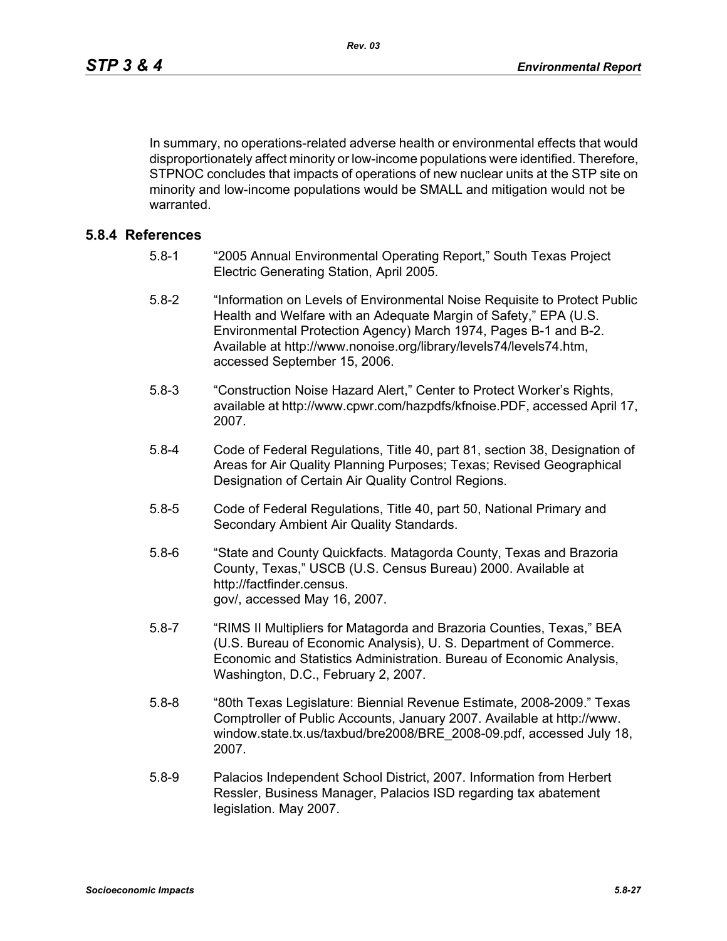In summary, no operations-related adverse health or environmental effects that would disproportionately affect minority or low-income populations were identified. Therefore, STPNOC concludes that impacts of operations of new nuclear units at the STP site on minority and low-income populations would be SMALL and mitigation would not be warranted.

## **5.8.4 References**

- 5.8-1 "2005 Annual Environmental Operating Report," South Texas Project Electric Generating Station, April 2005.
- 5.8-2 "Information on Levels of Environmental Noise Requisite to Protect Public Health and Welfare with an Adequate Margin of Safety," EPA (U.S. Environmental Protection Agency) March 1974, Pages B-1 and B-2. Available at http://www.nonoise.org/library/levels74/levels74.htm, accessed September 15, 2006.
- 5.8-3 "Construction Noise Hazard Alert," Center to Protect Worker's Rights, available at http://www.cpwr.com/hazpdfs/kfnoise.PDF, accessed April 17, 2007.
- 5.8-4 Code of Federal Regulations, Title 40, part 81, section 38, Designation of Areas for Air Quality Planning Purposes; Texas; Revised Geographical Designation of Certain Air Quality Control Regions.
- 5.8-5 Code of Federal Regulations, Title 40, part 50, National Primary and Secondary Ambient Air Quality Standards.
- 5.8-6 "State and County Quickfacts. Matagorda County, Texas and Brazoria County, Texas," USCB (U.S. Census Bureau) 2000. Available at http://factfinder.census. gov/, accessed May 16, 2007.
- 5.8-7 "RIMS II Multipliers for Matagorda and Brazoria Counties, Texas," BEA (U.S. Bureau of Economic Analysis), U. S. Department of Commerce. Economic and Statistics Administration. Bureau of Economic Analysis, Washington, D.C., February 2, 2007.
- 5.8-8 "80th Texas Legislature: Biennial Revenue Estimate, 2008-2009." Texas Comptroller of Public Accounts, January 2007. Available at http://www. window.state.tx.us/taxbud/bre2008/BRE\_2008-09.pdf, accessed July 18, 2007.
- 5.8-9 Palacios Independent School District, 2007. Information from Herbert Ressler, Business Manager, Palacios ISD regarding tax abatement legislation. May 2007.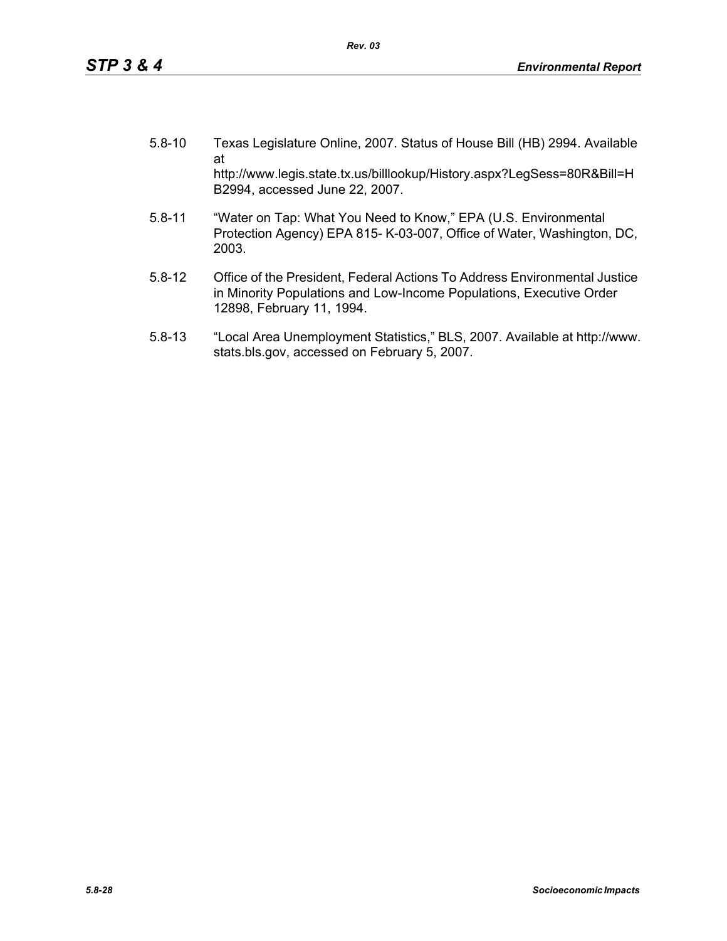- 5.8-10 Texas Legislature Online, 2007. Status of House Bill (HB) 2994. Available at http://www.legis.state.tx.us/billlookup/History.aspx?LegSess=80R&Bill=H B2994, accessed June 22, 2007.
- 5.8-11 "Water on Tap: What You Need to Know," EPA (U.S. Environmental Protection Agency) EPA 815- K-03-007, Office of Water, Washington, DC, 2003.
- 5.8-12 Office of the President, Federal Actions To Address Environmental Justice in Minority Populations and Low-Income Populations, Executive Order 12898, February 11, 1994.
- 5.8-13 "Local Area Unemployment Statistics," BLS, 2007. Available at http://www. stats.bls.gov, accessed on February 5, 2007.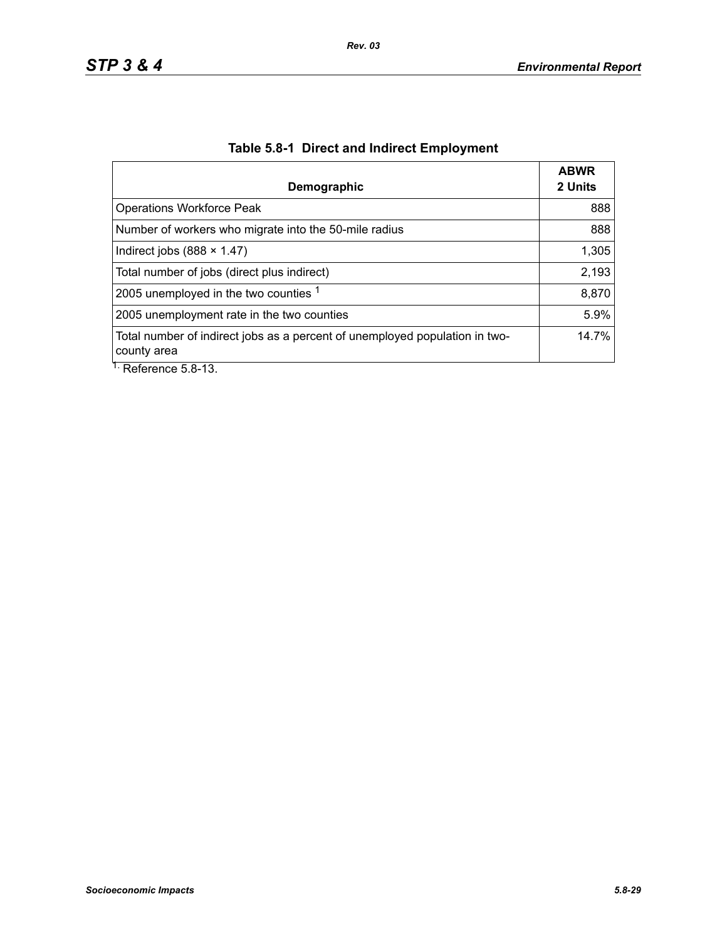| Demographic                                                                                | <b>ABWR</b><br>2 Units |
|--------------------------------------------------------------------------------------------|------------------------|
| <b>Operations Workforce Peak</b>                                                           | 888                    |
| Number of workers who migrate into the 50-mile radius                                      | 888                    |
| Indirect jobs $(888 \times 1.47)$                                                          | 1,305                  |
| Total number of jobs (direct plus indirect)                                                | 2,193                  |
| 2005 unemployed in the two counties 1                                                      | 8,870                  |
| 2005 unemployment rate in the two counties                                                 | 5.9%                   |
| Total number of indirect jobs as a percent of unemployed population in two-<br>county area | 14.7%                  |
| $\overline{1}$ . Deference E.O. 12                                                         |                        |

# **Table 5.8-1 Direct and Indirect Employment**

Reference 5.8-13.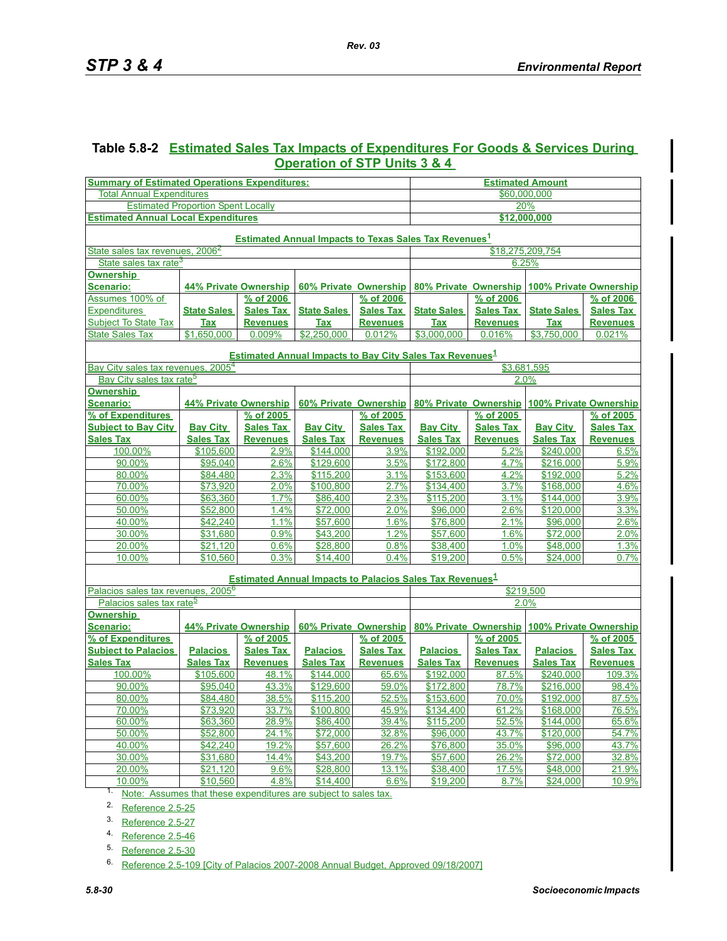## **Table 5.8-2 Estimated Sales Tax Impacts of Expenditures For Goods & Services During Operation of STP Units 3 & 4**

| <b>Summary of Estimated Operations Expenditures:</b>                    |                              |                  |                                                                             | <b>Estimated Amount</b> |                       |                  |                                              |                  |
|-------------------------------------------------------------------------|------------------------------|------------------|-----------------------------------------------------------------------------|-------------------------|-----------------------|------------------|----------------------------------------------|------------------|
| <b>Total Annual Expenditures</b>                                        |                              |                  |                                                                             | \$60,000,000            |                       |                  |                                              |                  |
| <b>Estimated Proportion Spent Locally</b>                               |                              |                  |                                                                             | 20%                     |                       |                  |                                              |                  |
| <b>Estimated Annual Local Expenditures</b>                              |                              |                  |                                                                             | \$12,000,000            |                       |                  |                                              |                  |
| <b>Estimated Annual Impacts to Texas Sales Tax Revenues<sup>1</sup></b> |                              |                  |                                                                             |                         |                       |                  |                                              |                  |
| State sales tax revenues, 2006 <sup>2</sup>                             |                              |                  |                                                                             |                         | \$18,275,209,754      |                  |                                              |                  |
| State sales tax rate <sup>3</sup>                                       |                              |                  |                                                                             |                         |                       | 6.25%            |                                              |                  |
| <u>Ownership</u>                                                        |                              |                  |                                                                             |                         |                       |                  |                                              |                  |
| <u>Scenario:</u>                                                        | <b>44% Private Ownership</b> |                  | 60% Private Ownership                                                       |                         | 80% Private Ownership |                  | 100% Private Ownership                       |                  |
| Assumes 100% of                                                         |                              | % of 2006        |                                                                             | % of 2006               |                       | % of 2006        |                                              | % of 2006        |
| <b>Expenditures</b>                                                     | <b>State Sales</b>           | <b>Sales Tax</b> | <b>State Sales</b>                                                          | <b>Sales Tax</b>        | <b>State Sales</b>    | <b>Sales Tax</b> | <b>State Sales</b>                           | <b>Sales Tax</b> |
| <b>Subject To State Tax</b>                                             | <b>Tax</b>                   | <b>Revenues</b>  | <b>Tax</b>                                                                  | <b>Revenues</b>         | <b>Tax</b>            | <b>Revenues</b>  | <b>Tax</b>                                   | <b>Revenues</b>  |
| <b>State Sales Tax</b>                                                  | \$1,650,000                  | 0.009%           | \$2,250,000                                                                 | 0.012%                  | \$3,000,000           | 0.016%           | \$3,750,000                                  | 0.021%           |
|                                                                         |                              |                  |                                                                             |                         |                       |                  |                                              |                  |
|                                                                         |                              |                  | <b>Estimated Annual Impacts to Bay City Sales Tax Revenues</b> <sup>1</sup> |                         |                       |                  |                                              |                  |
| Bay City sales tax revenues, 2005 <sup>4</sup>                          |                              |                  |                                                                             |                         |                       | \$3,681,595      |                                              |                  |
| Bay City sales tax rate <sup>5</sup>                                    |                              |                  |                                                                             |                         |                       | 2.0%             |                                              |                  |
| <u>Ownership</u>                                                        |                              |                  |                                                                             |                         |                       |                  |                                              |                  |
| <b>Scenario:</b>                                                        | 44% Private Ownership        |                  | 60% Private Ownership                                                       |                         |                       |                  | 80% Private Ownership 100% Private Ownership |                  |
| % of Expenditures                                                       |                              | % of 2005        |                                                                             | % of 2005               |                       | % of 2005        |                                              | % of 2005        |
| <b>Subject to Bay City</b>                                              | <b>Bay City</b>              | <b>Sales Tax</b> | <b>Bay City</b>                                                             | <b>Sales Tax</b>        | <b>Bay City</b>       | <b>Sales Tax</b> | <b>Bay City</b>                              | <b>Sales Tax</b> |
| <b>Sales Tax</b>                                                        | <b>Sales Tax</b>             | <b>Revenues</b>  | <b>Sales Tax</b>                                                            | <b>Revenues</b>         | <b>Sales Tax</b>      | <b>Revenues</b>  | <b>Sales Tax</b>                             | <b>Revenues</b>  |
| 100.00%                                                                 | \$105,600                    | 2.9%             | \$144,000                                                                   | 3.9%                    | \$192,000             | 5.2%             | \$240,000                                    | 6.5%             |
| 90.00%                                                                  | \$95,040                     | 2.6%             | \$129,600                                                                   | 3.5%                    | \$172,800             | 4.7%             | \$216,000                                    | 5.9%             |
| 80.00%                                                                  | <u>\$84,480</u>              | 2.3%             | \$115,200                                                                   | 3.1%                    | \$153,600             | 4.2%             | \$192,000                                    | 5.2%             |
| 70.00%                                                                  | \$73,920                     | 2.0%             | \$100,800                                                                   | 2.7%                    | \$134,400             | 3.7%             | \$168,000                                    | 4.6%             |
| 60.00%                                                                  | \$63,360                     | 1.7%             | \$86,400                                                                    | 2.3%                    | \$115,200             | 3.1%             | \$144,000                                    | 3.9%             |
| 50.00%                                                                  | \$52,800                     | 1.4%             | \$72,000                                                                    | 2.0%                    | \$96,000              | 2.6%             | \$120,000                                    | 3.3%             |
| 40.00%                                                                  | \$42,240                     | 1.1%             | \$57,600                                                                    | 1.6%                    | \$76,800              | 2.1%             | \$96,000                                     | 2.6%             |
| 30.00%                                                                  | \$31,680                     | 0.9%             | \$43,200                                                                    | 1.2%                    | \$57,600              | 1.6%             | \$72,000                                     | 2.0%             |
| 20.00%                                                                  | \$21,120                     | 0.6%             | \$28,800                                                                    | 0.8%                    | \$38,400              | 1.0%             | \$48,000                                     | 1.3%             |
| 10.00%                                                                  | \$10,560                     | 0.3%             | \$14,400                                                                    | 0.4%                    | \$19,200              | 0.5%             | \$24,000                                     | 0.7%             |
|                                                                         |                              |                  | <b>Estimated Annual Impacts to Palacios Sales Tax Revenues</b> <sup>1</sup> |                         |                       |                  |                                              |                  |
| Palacios sales tax revenues, 2005 <sup>6</sup>                          |                              |                  |                                                                             |                         | \$219,500             |                  |                                              |                  |
| Palacios sales tax rate <sup>5</sup>                                    |                              |                  |                                                                             |                         |                       | 2.0%             |                                              |                  |
| <b>Ownership</b>                                                        |                              |                  |                                                                             |                         |                       |                  |                                              |                  |
| <u>Scenario:</u>                                                        | 44% Private Ownership        |                  | 60% Private Ownership                                                       |                         | 80% Private Ownership |                  | 100% Private Ownership                       |                  |
| % of Expenditures                                                       |                              | % of 2005        |                                                                             | % of 2005               |                       | % of 2005        |                                              | % of 2005        |
| <b>Subiect to Palacios</b>                                              | <b>Palacios</b>              | <b>Sales Tax</b> | <b>Palacios</b>                                                             | <b>Sales Tax</b>        | <b>Palacios</b>       | <b>Sales Tax</b> | <b>Palacios</b>                              | <b>Sales Tax</b> |
| <b>Sales Tax</b>                                                        | <b>Sales Tax</b>             | <b>Revenues</b>  | <b>Sales Tax</b>                                                            | <b>Revenues</b>         | <b>Sales Tax</b>      | <b>Revenues</b>  | <b>Sales Tax</b>                             | <b>Revenues</b>  |
| 100.00%                                                                 | \$105,600                    | 48.1%            | \$144,000                                                                   | 65.6%                   | \$192,000             | 87.5%            | \$240,000                                    | 109.3%           |
| 90.00%                                                                  | \$95,040                     | 43.3%            | \$129,600                                                                   | 59.0%                   | \$172,800             | <u>78.7%</u>     | \$216,000                                    | 98.4%            |
| 80.00%                                                                  | \$84,480                     | 38.5%            | \$115,200                                                                   | 52.5%                   | \$153,600             | 70.0%            | \$192,000                                    | 87.5%            |
| 70.00%                                                                  | \$73,920                     | 33.7%            | \$100,800                                                                   | 45.9%                   | \$134,400             | 61.2%            | \$168,000                                    | 76.5%            |
| 60.00%                                                                  | \$63,360                     | 28.9%            | \$86,400                                                                    | 39.4%                   | \$115,200             | 52.5%            | \$144,000                                    | 65.6%            |
| 50.00%                                                                  | \$52,800                     | 24.1%            | \$72,000                                                                    | 32.8%                   | \$96,000              | 43.7%            | \$120,000                                    | 54.7%            |
| 40.00%                                                                  | \$42,240                     | 19.2%            | \$57,600                                                                    | 26.2%                   | \$76,800              | 35.0%            | \$96,000                                     | 43.7%            |
| 30.00%                                                                  | \$31,680                     | 14.4%            | \$43,200                                                                    | 19.7%                   | \$57,600              | 26.2%            | \$72,000                                     | 32.8%            |
| 20.00%                                                                  | \$21,120                     | 9.6%             | \$28,800                                                                    | 13.1%                   | \$38,400              | 17.5%            | \$48,000                                     | 21.9%            |
| 10.00%                                                                  | \$10,560                     | 4.8%             | \$14,400                                                                    | 6.6%                    | \$19,200              | 8.7%             | \$24,000                                     | 10.9%            |
| 1.<br>Note: Assumes that these expenditures are subject to sales tax.   |                              |                  |                                                                             |                         |                       |                  |                                              |                  |

<span id="page-29-0"></span>2. Reference 2.5-25

3. Reference 2.5-27

4. Reference 2.5-46

<span id="page-29-1"></span>5. Reference 2.5-30

6. Reference 2.5-109 [City of Palacios 2007-2008 Annual Budget, Approved 09/18/2007]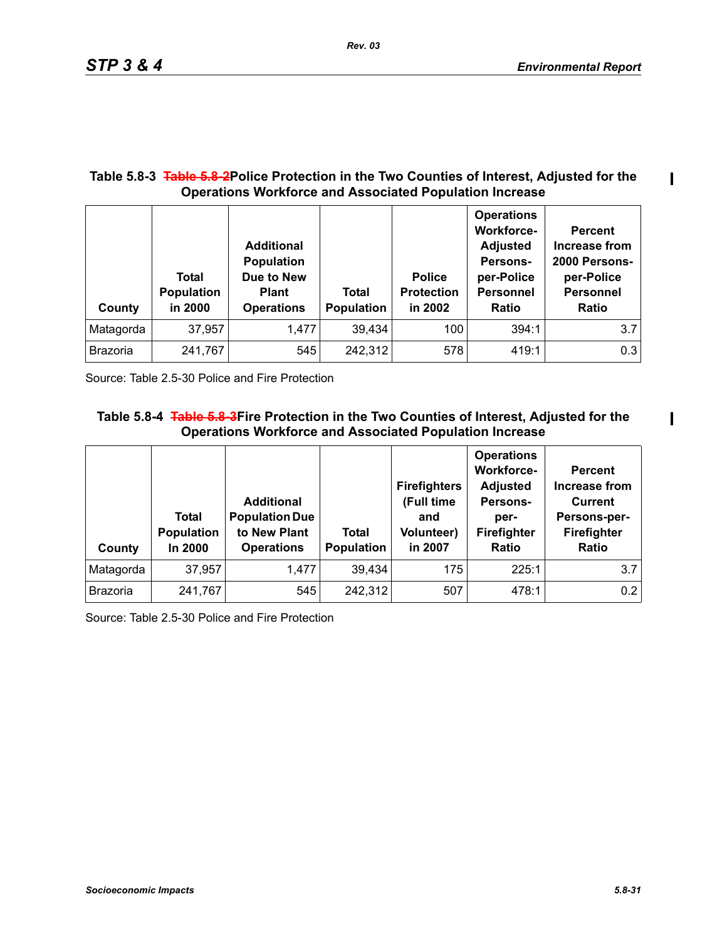$\mathbf I$ 

 $\mathbf I$ 

## **Table 5.8-3 Table 5.8-2Police Protection in the Two Counties of Interest, Adjusted for the Operations Workforce and Associated Population Increase**

| County          | Total<br><b>Population</b><br>in 2000 | <b>Additional</b><br><b>Population</b><br>Due to New<br><b>Plant</b><br><b>Operations</b> | Total<br><b>Population</b> | <b>Police</b><br><b>Protection</b><br>in 2002 | <b>Operations</b><br><b>Workforce-</b><br><b>Adjusted</b><br>Persons-<br>per-Police<br><b>Personnel</b><br><b>Ratio</b> | <b>Percent</b><br>Increase from<br>2000 Persons-<br>per-Police<br><b>Personnel</b><br><b>Ratio</b> |
|-----------------|---------------------------------------|-------------------------------------------------------------------------------------------|----------------------------|-----------------------------------------------|-------------------------------------------------------------------------------------------------------------------------|----------------------------------------------------------------------------------------------------|
| Matagorda       | 37,957                                | 1,477                                                                                     | 39,434                     | 100                                           | 394:1                                                                                                                   | 3.7                                                                                                |
| <b>Brazoria</b> | 241,767                               | 545                                                                                       | 242,312                    | 578                                           | 419:1                                                                                                                   | 0.3                                                                                                |

Source: Table 2.5-30 Police and Fire Protection

## **Table 5.8-4 Table 5.8-3Fire Protection in the Two Counties of Interest, Adjusted for the Operations Workforce and Associated Population Increase**

| County          | Total<br><b>Population</b><br>In 2000 | <b>Additional</b><br><b>Population Due</b><br>to New Plant<br><b>Operations</b> | <b>Total</b><br>Population | <b>Firefighters</b><br>(Full time<br>and<br><b>Volunteer)</b><br>in 2007 | <b>Operations</b><br><b>Workforce-</b><br><b>Adjusted</b><br>Persons-<br>per-<br><b>Firefighter</b><br>Ratio | <b>Percent</b><br>Increase from<br><b>Current</b><br>Persons-per-<br><b>Firefighter</b><br><b>Ratio</b> |
|-----------------|---------------------------------------|---------------------------------------------------------------------------------|----------------------------|--------------------------------------------------------------------------|--------------------------------------------------------------------------------------------------------------|---------------------------------------------------------------------------------------------------------|
| Matagorda       | 37,957                                | 1,477                                                                           | 39,434                     | 175                                                                      | 225:1                                                                                                        | 3.7                                                                                                     |
| <b>Brazoria</b> | 241,767                               | 545                                                                             | 242,312                    | 507                                                                      | 478:1                                                                                                        | 0.2                                                                                                     |

Source: Table 2.5-30 Police and Fire Protection